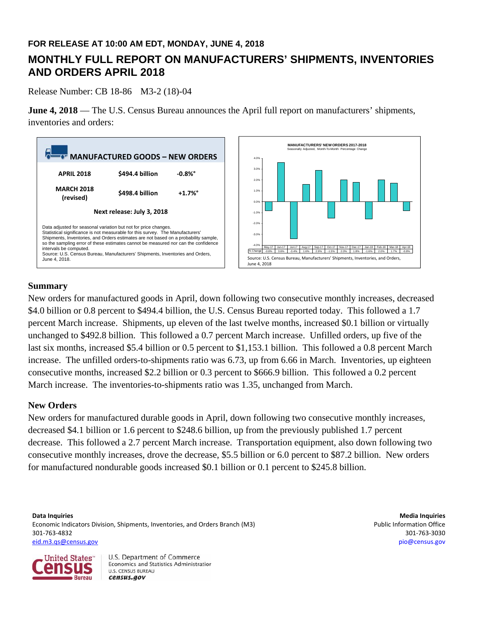## **FOR RELEASE AT 10:00 AM EDT, MONDAY, JUNE 4, 2018**

# **MONTHLY FULL REPORT ON MANUFACTURERS' SHIPMENTS, INVENTORIES AND ORDERS APRIL 2018**

Release Number: CB 18-86 M3-2 (18)-04

**June 4, 2018** — The U.S. Census Bureau announces the April full report on manufacturers' shipments, inventories and orders:



## **Summary**

New orders for manufactured goods in April, down following two consecutive monthly increases, decreased \$4.0 billion or 0.8 percent to \$494.4 billion, the U.S. Census Bureau reported today. This followed a 1.7 percent March increase. Shipments, up eleven of the last twelve months, increased \$0.1 billion or virtually unchanged to \$492.8 billion. This followed a 0.7 percent March increase. Unfilled orders, up five of the last six months, increased \$5.4 billion or 0.5 percent to \$1,153.1 billion. This followed a 0.8 percent March increase. The unfilled orders-to-shipments ratio was 6.73, up from 6.66 in March. Inventories, up eighteen consecutive months, increased \$2.2 billion or 0.3 percent to \$666.9 billion. This followed a 0.2 percent March increase. The inventories-to-shipments ratio was 1.35, unchanged from March.

#### **New Orders**

New orders for manufactured durable goods in April, down following two consecutive monthly increases, decreased \$4.1 billion or 1.6 percent to \$248.6 billion, up from the previously published 1.7 percent decrease. This followed a 2.7 percent March increase. Transportation equipment, also down following two consecutive monthly increases, drove the decrease, \$5.5 billion or 6.0 percent to \$87.2 billion. New orders for manufactured nondurable goods increased \$0.1 billion or 0.1 percent to \$245.8 billion.

**Data Inquiries Media Inquiries** Economic Indicators Division, Shipments, Inventories, and Orders Branch (M3) Public Information Office 301‐763‐4832 301‐763‐3030 eid.m3.qs@census.gov pio@census.gov

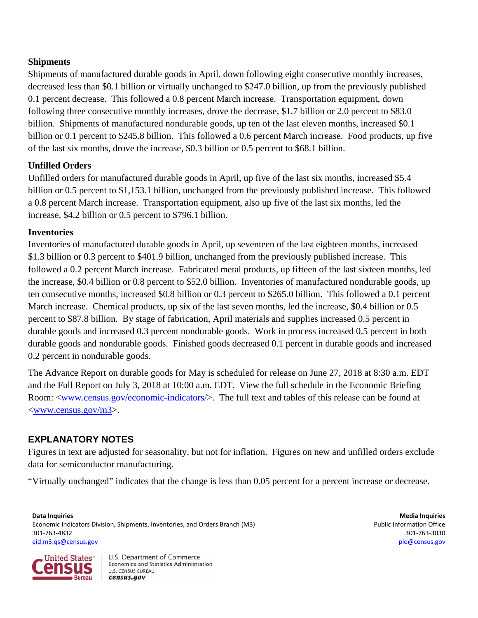## **Shipments**

Shipments of manufactured durable goods in April, down following eight consecutive monthly increases, decreased less than \$0.1 billion or virtually unchanged to \$247.0 billion, up from the previously published 0.1 percent decrease. This followed a 0.8 percent March increase. Transportation equipment, down following three consecutive monthly increases, drove the decrease, \$1.7 billion or 2.0 percent to \$83.0 billion. Shipments of manufactured nondurable goods, up ten of the last eleven months, increased \$0.1 billion or 0.1 percent to \$245.8 billion. This followed a 0.6 percent March increase. Food products, up five of the last six months, drove the increase, \$0.3 billion or 0.5 percent to \$68.1 billion.

## **Unfilled Orders**

Unfilled orders for manufactured durable goods in April, up five of the last six months, increased \$5.4 billion or 0.5 percent to \$1,153.1 billion, unchanged from the previously published increase. This followed a 0.8 percent March increase. Transportation equipment, also up five of the last six months, led the increase, \$4.2 billion or 0.5 percent to \$796.1 billion.

## **Inventories**

Inventories of manufactured durable goods in April, up seventeen of the last eighteen months, increased \$1.3 billion or 0.3 percent to \$401.9 billion, unchanged from the previously published increase. This followed a 0.2 percent March increase. Fabricated metal products, up fifteen of the last sixteen months, led the increase, \$0.4 billion or 0.8 percent to \$52.0 billion. Inventories of manufactured nondurable goods, up ten consecutive months, increased \$0.8 billion or 0.3 percent to \$265.0 billion. This followed a 0.1 percent March increase. Chemical products, up six of the last seven months, led the increase, \$0.4 billion or 0.5 percent to \$87.8 billion. By stage of fabrication, April materials and supplies increased 0.5 percent in durable goods and increased 0.3 percent nondurable goods. Work in process increased 0.5 percent in both durable goods and nondurable goods. Finished goods decreased 0.1 percent in durable goods and increased 0.2 percent in nondurable goods.

The Advance Report on durable goods for May is scheduled for release on June 27, 2018 at 8:30 a.m. EDT and the Full Report on July 3, 2018 at 10:00 a.m. EDT. View the full schedule in the Economic Briefing Room: <<u>www.census.gov/economic-indicators</u>/>. The full text and tables of this release can be found at <www.census.gov/m3>.

# **EXPLANATORY NOTES**

Figures in text are adjusted for seasonality, but not for inflation. Figures on new and unfilled orders exclude data for semiconductor manufacturing.

"Virtually unchanged" indicates that the change is less than 0.05 percent for a percent increase or decrease.

**Data Inquiries Media Inquiries** Economic Indicators Division, Shipments, Inventories, and Orders Branch (M3) **Public Information Office** Public Information Office 301‐763‐4832 301‐763‐3030 eid.m3.qs@census.gov pio@census.gov

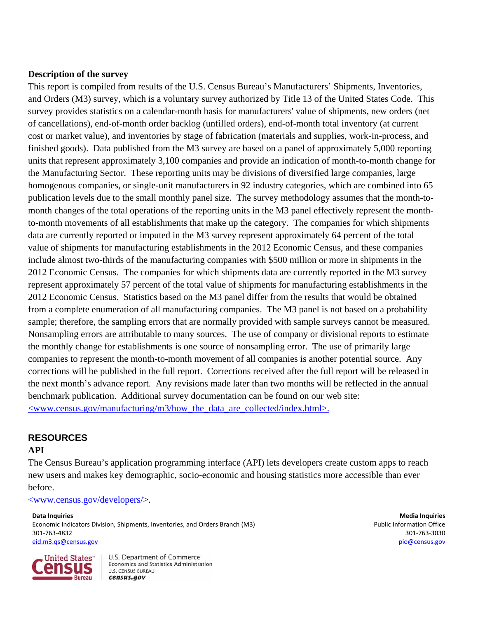## **Description of the survey**

This report is compiled from results of the U.S. Census Bureau's Manufacturers' Shipments, Inventories, and Orders (M3) survey, which is a voluntary survey authorized by Title 13 of the United States Code. This survey provides statistics on a calendar-month basis for manufacturers' value of shipments, new orders (net of cancellations), end-of-month order backlog (unfilled orders), end-of-month total inventory (at current cost or market value), and inventories by stage of fabrication (materials and supplies, work-in-process, and finished goods). Data published from the M3 survey are based on a panel of approximately 5,000 reporting units that represent approximately 3,100 companies and provide an indication of month-to-month change for the Manufacturing Sector. These reporting units may be divisions of diversified large companies, large homogenous companies, or single-unit manufacturers in 92 industry categories, which are combined into 65 publication levels due to the small monthly panel size. The survey methodology assumes that the month-tomonth changes of the total operations of the reporting units in the M3 panel effectively represent the monthto-month movements of all establishments that make up the category.The companies for which shipments data are currently reported or imputed in the M3 survey represent approximately 64 percent of the total value of shipments for manufacturing establishments in the 2012 Economic Census, and these companies include almost two-thirds of the manufacturing companies with \$500 million or more in shipments in the 2012 Economic Census. The companies for which shipments data are currently reported in the M3 survey represent approximately 57 percent of the total value of shipments for manufacturing establishments in the 2012 Economic Census. Statistics based on the M3 panel differ from the results that would be obtained from a complete enumeration of all manufacturing companies. The M3 panel is not based on a probability sample; therefore, the sampling errors that are normally provided with sample surveys cannot be measured. Nonsampling errors are attributable to many sources. The use of company or divisional reports to estimate the monthly change for establishments is one source of nonsampling error. The use of primarily large companies to represent the month-to-month movement of all companies is another potential source. Any corrections will be published in the full report. Corrections received after the full report will be released in the next month's advance report. Any revisions made later than two months will be reflected in the annual benchmark publication.Additional survey documentation can be found on our web site:  $\langle$ www.census.gov/manufacturing/m3/how the data are collected/index.html>.

## **RESOURCES**

## **API**

The Census Bureau's application programming interface (API) lets developers create custom apps to reach new users and makes key demographic, socio-economic and housing statistics more accessible than ever before.

<www.census.gov/developers/>.

**Data Inquiries Media Inquiries** Economic Indicators Division, Shipments, Inventories, and Orders Branch (M3) **Public Information Office** Public Information Office 301‐763‐4832 301‐763‐3030 eid.m3.qs@census.gov pio@census.gov

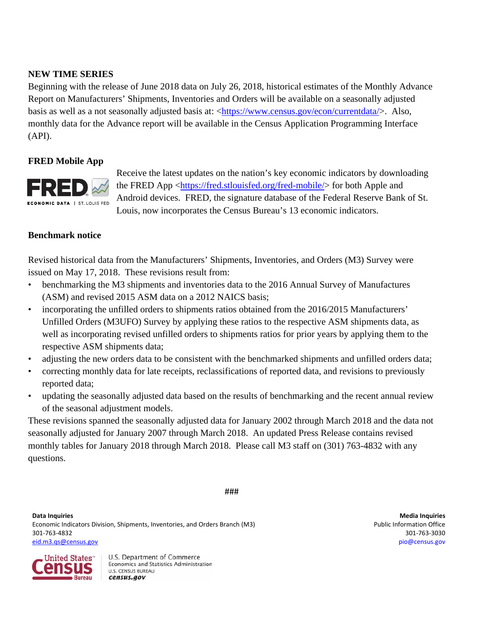## **NEW TIME SERIES**

Beginning with the release of June 2018 data on July 26, 2018, historical estimates of the Monthly Advance Report on Manufacturers' Shipments, Inventories and Orders will be available on a seasonally adjusted basis as well as a not seasonally adjusted basis at: <https://www.census.gov/econ/currentdata/>. Also, monthly data for the Advance report will be available in the Census Application Programming Interface (API).

## **FRED Mobile App**



Receive the latest updates on the nation's key economic indicators by downloading the FRED App <https://fred.stlouisfed.org/fred-mobile/> for both Apple and Android devices. FRED, the signature database of the Federal Reserve Bank of St. Louis, now incorporates the Census Bureau's 13 economic indicators.

#### **Benchmark notice**

Revised historical data from the Manufacturers' Shipments, Inventories, and Orders (M3) Survey were issued on May 17, 2018. These revisions result from:

- benchmarking the M3 shipments and inventories data to the 2016 Annual Survey of Manufactures (ASM) and revised 2015 ASM data on a 2012 NAICS basis;
- incorporating the unfilled orders to shipments ratios obtained from the 2016/2015 Manufacturers' Unfilled Orders (M3UFO) Survey by applying these ratios to the respective ASM shipments data, as well as incorporating revised unfilled orders to shipments ratios for prior years by applying them to the respective ASM shipments data;
- adjusting the new orders data to be consistent with the benchmarked shipments and unfilled orders data;
- correcting monthly data for late receipts, reclassifications of reported data, and revisions to previously reported data;
- updating the seasonally adjusted data based on the results of benchmarking and the recent annual review of the seasonal adjustment models.

These revisions spanned the seasonally adjusted data for January 2002 through March 2018 and the data not seasonally adjusted for January 2007 through March 2018. An updated Press Release contains revised monthly tables for January 2018 through March 2018. Please call M3 staff on (301) 763-4832 with any questions.

###

**Data Inquiries Media Inquiries** Economic Indicators Division, Shipments, Inventories, and Orders Branch (M3) **Public Information Office** Public Information Office 301‐763‐4832 301‐763‐3030 eid.m3.qs@census.gov pio@census.gov

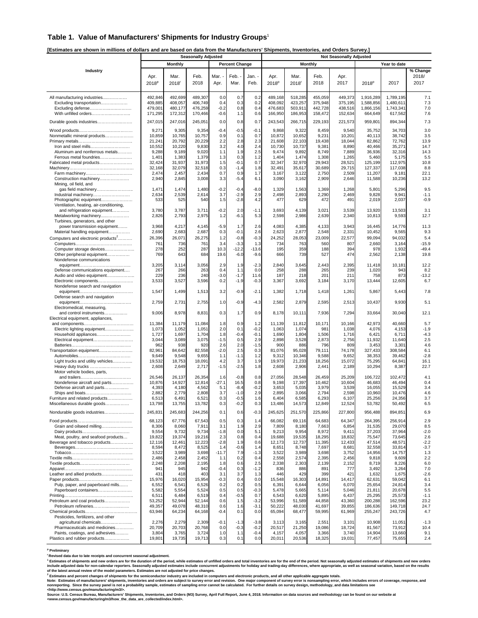#### **Table 1. Value of Manufacturers' Shipments for Industry Groups**<sup>1</sup>

**[Estimates are shown in millions of dollars and are based on data from the Manufacturers' Shipments, Inventories, and Orders Survey.]** 

|                                                                                                                                                                  | <b>Seasonally Adjusted</b>                                                     |                                                                                |                                                                                |                                                                      |                                                                      |                                                                      |                                                                                | <b>Not Seasonally Adjusted</b>                                                  |                                                                     |                                                                                |                                                                                      |                                                                                     |                                                                        |  |  |
|------------------------------------------------------------------------------------------------------------------------------------------------------------------|--------------------------------------------------------------------------------|--------------------------------------------------------------------------------|--------------------------------------------------------------------------------|----------------------------------------------------------------------|----------------------------------------------------------------------|----------------------------------------------------------------------|--------------------------------------------------------------------------------|---------------------------------------------------------------------------------|---------------------------------------------------------------------|--------------------------------------------------------------------------------|--------------------------------------------------------------------------------------|-------------------------------------------------------------------------------------|------------------------------------------------------------------------|--|--|
|                                                                                                                                                                  |                                                                                | Monthly                                                                        |                                                                                |                                                                      | <b>Percent Change</b>                                                |                                                                      |                                                                                |                                                                                 | <b>Monthly</b>                                                      |                                                                                |                                                                                      | Year to date                                                                        |                                                                        |  |  |
| Industry                                                                                                                                                         | Apr.<br>2018 <sup>p</sup>                                                      | Mar.<br>$2018$ <sup>r</sup>                                                    | Feb.<br>2018                                                                   | Mar.<br>Apr.                                                         | Feb.<br>Mar.                                                         | Jan. -<br>Feb.                                                       | Apr.<br>$2018^p$                                                               | Mar.<br>$2018$ <sup>r</sup>                                                     | Feb.<br>2018                                                        | Apr.<br>2017                                                                   | 2018 <sup>p</sup>                                                                    | 2017                                                                                | % Change<br>2018/<br>2017                                              |  |  |
| All manufacturing industries<br>Excluding transportation<br>Excluding defense<br>With unfilled orders                                                            | 492,846<br>409,885<br>479,001<br>171,295                                       | 492,699<br>408,057<br>480,177<br>172,312                                       | 489,307<br>406,749<br>476,259<br>170,466                                       | 0.0<br>0.4<br>$-0.2$<br>$-0.6$                                       | 0.7<br>0.3<br>0.8<br>1.1                                             | 0.2<br>0.2<br>0.4<br>0.6                                             | 489,168<br>408,092<br>476,683<br>166,950                                       | 518,285<br>423,257<br>503,91'<br>186,953                                        | 455,059<br>375,948<br>442,728<br>158,472                            | 449,373<br>375,195<br>438,516<br>152,634                                       | 1,916,289<br>1,588,856<br>1,866,156<br>664,649                                       | 1,789,195<br>1,480,611<br>1,743,341<br>617,562                                      | 7.1<br>7.3<br>7.0<br>7.6                                               |  |  |
| Durable goods industries                                                                                                                                         | 247,015                                                                        | 247,016                                                                        | 245,051                                                                        | 0.0                                                                  | 0.8                                                                  | 0.7                                                                  | 243,543                                                                        | 266,715                                                                         | 229,193                                                             | 221,573                                                                        | 959,801                                                                              | 894,344                                                                             | 7.3                                                                    |  |  |
| Nonmetallic mineral products<br>Iron and steel mills                                                                                                             | 9,271<br>10,859<br>21,241<br>10,552                                            | 9,305<br>10,765<br>20,792<br>10,220                                            | 9,354<br>10,757<br>20,229<br>9,830                                             | $-0.4$<br>0.9<br>2.2<br>3.2                                          | $-0.5$<br>0.1<br>2.8<br>4.0                                          | $-0.1$<br>0.7<br>2.3<br>2.4                                          | 9,868<br>10,872<br>21,608<br>10,730                                            | 9,322<br>10,652<br>22,103<br>10,737                                             | 8,459<br>9,231<br>19,438<br>9,381                                   | 9,540<br>10,201<br>18,044<br>8,890                                             | 35,752<br>40,113<br>82,862<br>40,466                                                 | 34,703<br>38,742<br>72,762<br>35,271                                                | 3.0<br>3.5<br>13.9<br>14.7                                             |  |  |
| Aluminum and nonferrous metals<br>Ferrous metal foundries<br>Fabricated metal products<br>Farm machinery                                                         | 9,288<br>1,401<br>32,424<br>32,168<br>2,474                                    | 9,189<br>1,383<br>31,937<br>32,079<br>2,457                                    | 9,020<br>1,379<br>31,973<br>32,518<br>2,434                                    | 1.1<br>1.3<br>1.5<br>0.3<br>0.7                                      | 1.9<br>0.3<br>$-0.1$<br>$-1.4$<br>0.9                                | 2.5<br>1.2<br>0.7<br>1.8<br>1.7                                      | 9,474<br>1,404<br>32,347<br>32,491<br>3,167                                    | 9,892<br>1,474<br>32,970<br>35,617<br>3,122                                     | 8,749<br>1,308<br>29,943<br>30,689<br>2,750                         | 7,889<br>1,265<br>28,521<br>29,715<br>2,509                                    | 36,936<br>5,460<br>125,199<br>127,337<br>11,207                                      | 32,316<br>5,175<br>112,975<br>117,038<br>9,181                                      | 14.3<br>5.5<br>10.8<br>8.8<br>22.1                                     |  |  |
| Construction machinery<br>Mining, oil field, and<br>gas field machinery<br>Industrial machinery                                                                  | 2,940<br>1,471<br>2,634                                                        | 2,845<br>1,474<br>2,539                                                        | 3,008<br>1,480<br>2,614                                                        | 3.3<br>$-0.2$<br>3.7                                                 | $-5.4$<br>$-0.4$<br>$-2.9$                                           | 6.1<br>$-8.0$<br>2.9                                                 | 3,090<br>1,329<br>2,498                                                        | 3,162<br>1,563<br>2,893                                                         | 2,909<br>1,369<br>2,290                                             | 2,646<br>1,268<br>2,469                                                        | 11,588<br>5,801<br>9,828                                                             | 10,236<br>5,296<br>9,941                                                            | 13.2<br>9.5<br>$-1.1$                                                  |  |  |
| Photographic equipment<br>Ventilation, heating, air-conditioning,<br>and refrigeration equipment<br>Metalworking machinery                                       | 533<br>3,780<br>2,826                                                          | 525<br>3,787<br>2,793                                                          | 540<br>3,711<br>2,975                                                          | 1.5<br>$-0.2$<br>1.2                                                 | $-2.8$<br>2.0<br>-6.1                                                | 4.2<br>$-1.1$<br>5.3                                                 | 477<br>3,693<br>2,598                                                          | 629<br>4,139<br>2,986                                                           | 472<br>3,021<br>2,639                                               | 491<br>3,539<br>2,340                                                          | 2,019<br>13,920<br>10,813                                                            | 2,037<br>13,503<br>9,593                                                            | $-0.9$<br>3.1<br>12.7                                                  |  |  |
| Turbines, generators, and other<br>power transmission equipment<br>Material handling equipment<br>Computers and electronic products <sup>2</sup>                 | 3,968<br>2,690<br>26,396                                                       | 4,217<br>2,683<br>26,071                                                       | 4,145<br>2,687<br>26,275                                                       | $-5.9$<br>0.3<br>1.2                                                 | 1.7<br>$-0.1$<br>$-0.8$                                              | 2.6<br>2.6<br>$-0.3$                                                 | 4,083<br>2,623<br>24,252                                                       | 4,385<br>2,877<br>28,053                                                        | 4,133<br>2,548<br>23,009                                            | 3,943<br>2,331<br>22,577                                                       | 16,445<br>10,452<br>99,094                                                           | 14,776<br>9,565<br>94,032                                                           | 11.3<br>9.3<br>5.4                                                     |  |  |
| Computer storage devices<br>Other peripheral equipment<br>Nondefense communications                                                                              | 761<br>278<br>769                                                              | 736<br>252<br>643                                                              | 761<br>287<br>684                                                              | 3.4<br>10.3<br>19.6                                                  | $-3.3$<br>$-12.2$<br>$-6.0$                                          | 1.3<br>-13.6<br>$-9.6$                                               | 734<br>195<br>666                                                              | 763<br>359<br>739                                                               | 560<br>188<br>527                                                   | 807<br>394<br>474                                                              | 2,660<br>978<br>2,562                                                                | 3,164<br>1,932<br>2,138                                                             | $-15.9$<br>$-49.4$<br>19.8                                             |  |  |
| Defense communications equipment<br>Audio and video equipment<br>Electronic components                                                                           | 3,205<br>267<br>229<br>3,533                                                   | 3,114<br>266<br>236<br>3,527                                                   | 3,056<br>263<br>240<br>3,596                                                   | 2.9<br>0.4<br>$-3.0$<br>0.2                                          | 1.9<br>1.1<br>$-1.7$<br>$-1.9$                                       | $-2.3$<br>0.0<br>11.6<br>$-0.3$                                      | 2,840<br>258<br>187<br>3,367                                                   | 3,645<br>288<br>218<br>3,692                                                    | 2,443<br>265<br>201<br>3,184                                        | 2,395<br>239<br>211<br>3,170                                                   | 11,418<br>1,020<br>758<br>13,444                                                     | 10,181<br>943<br>873<br>12,605                                                      | 12.2<br>8.2<br>$-13.2$<br>6.7                                          |  |  |
| Nondefense search and navigation<br>Defense search and navigation                                                                                                | 1,547                                                                          | 1,499                                                                          | 1,513                                                                          | 3.2                                                                  | $-0.9$                                                               | $-2.1$                                                               | 1,382                                                                          | 1,718                                                                           | 1,418                                                               | 1,261                                                                          | 5,867                                                                                | 5,443                                                                               | 7.8                                                                    |  |  |
| Electromedical, measuring,                                                                                                                                       | 2,759                                                                          | 2,731                                                                          | 2,755                                                                          | 1.0                                                                  | $-0.9$                                                               | $-4.3$                                                               | 2,582                                                                          | 2,879                                                                           | 2,595                                                               | 2,513                                                                          | 10,437                                                                               | 9,930                                                                               | 5.1                                                                    |  |  |
| and control instruments<br>Electrical equipment, appliances,                                                                                                     | 9,006                                                                          | 8,978                                                                          | 8,831                                                                          | 0.3                                                                  | 1.7                                                                  | 0.9                                                                  | 8,178                                                                          | 10,111                                                                          | 7,936                                                               | 7,294                                                                          | 33,664                                                                               | 30,040                                                                              | 12.1                                                                   |  |  |
| Electric lighting equipment<br>Household appliances<br>Electrical equipment<br>Transportation equipment<br>Light trucks and utility vehicles                     | 11,384<br>1,073<br>1,727<br>3,044<br>962<br>82,961<br>9,649<br>19,532<br>2,608 | 11,179<br>1,052<br>1,697<br>3,089<br>938<br>84,642<br>9,548<br>18,753<br>2,649 | 11,084<br>1,051<br>1,704<br>3,075<br>920<br>82,558<br>9,655<br>18,091<br>2,717 | 1.8<br>2.0<br>1.8<br>$-1.5$<br>2.6<br>$-2.0$<br>1.1<br>4.2<br>$-1.5$ | 0.9<br>0.1<br>$-0.4$<br>0.5<br>2.0<br>2.5<br>$-1.1$<br>3.7<br>$-2.5$ | 1.2<br>$-0.2$<br>$-0.1$<br>2.9<br>$-1.5$<br>0.3<br>1.2<br>1.9<br>1.8 | 11,139<br>1,063<br>1,690<br>2,898<br>900<br>81,076<br>9,312<br>19,973<br>2,608 | 11,812<br>1,074<br>1,804<br>3,528<br>886<br>95,028<br>10,346<br>21,233<br>2,906 | 10,171<br>981<br>1,506<br>2,873<br>796<br>79,111<br>9,588<br>18,256 | 10,166<br>1,038<br>1,716<br>2,756<br>809<br>74,178<br>9,652<br>15,072<br>2,189 | 42,973<br>4,076<br>6,421<br>11,932<br>3,453<br>327,433<br>38,353<br>75,295<br>10,294 | 40,660<br>4,153<br>6,711<br>11,640<br>3,301<br>308,584<br>39,462<br>64,841<br>8,387 | 5.7<br>$-1.9$<br>$-4.3$<br>2.5<br>4.6<br>6.1<br>$-2.8$<br>16.1<br>22.7 |  |  |
| Heavy duty trucks<br>Motor vehicle bodies, parts,<br>Nondefense aircraft and parts<br>Defense aircraft and parts                                                 | 26,546<br>10,876<br>4,393                                                      | 26,137<br>14,927<br>4,180                                                      | 26,354<br>12,814<br>4,562                                                      | 1.6<br>$-27.1$<br>5.1                                                | $-0.8$<br>16.5<br>$-8.4$                                             | 0.8<br>0.8<br>$-0.2$                                                 | 27,056<br>9,198<br>3,653                                                       | 28,548<br>17,397<br>5,035                                                       | 2,441<br>26,459<br>10,462<br>3,979                                  | 25,209<br>10,604<br>3,539                                                      | 106,722<br>46,683<br>16,055                                                          | 102,472<br>46,494<br>15,529                                                         | 4.1<br>0.4<br>3.4                                                      |  |  |
| Furniture and related products<br>Miscellaneous durable goods                                                                                                    | 2,882<br>6,513<br>13,798                                                       | 2,779<br>6,491<br>13,755                                                       | 2,808<br>6,521<br>13,782                                                       | 3.7<br>0.3<br>0.3                                                    | $-1.0$<br>$-0.5$<br>$-0.2$                                           | 2.9<br>1.6<br>0.3                                                    | 2,895<br>6,404<br>13,486                                                       | 3,066<br>6,585<br>14,573                                                        | 2,794<br>6,293<br>12,849                                            | 2,598<br>6,107<br>12,524                                                       | 10,960<br>25,256<br>53,782                                                           | 10,476<br>24,356<br>50,492                                                          | 4.6<br>3.7<br>6.5                                                      |  |  |
| Nondurable goods industries<br>Grain and oilseed milling                                                                                                         | 245,831<br>68,123<br>8,306<br>9,554                                            | 245,683<br>67,776<br>8,060<br>9,732                                            | 244,256<br>67,543<br>7,911<br>9,734                                            | 0.1<br>0.5<br>3.1<br>$-1.8$                                          | 0.6<br>0.3<br>1.9<br>0.0                                             | $-0.3$<br>1.4<br>2.9<br>5.1                                          | 245,625<br>66,082<br>7,809<br>9,213                                            | 251,570<br>69,116<br>8,180<br>9,954                                             | 225,866<br>64,683<br>7,663<br>8,972                                 | 227,800<br>64,347<br>6,854<br>9,411                                            | 956,488<br>264,395<br>31,535<br>37,203                                               | 894,851<br>256,914<br>29,070<br>37,964                                              | 6.9<br>2.9<br>8.5<br>$-2.0$                                            |  |  |
| Meat, poultry, and seafood products<br>Beverage and tobacco products                                                                                             | 19,822<br>12,116<br>8,594<br>3,522<br>2,486                                    | 19,374<br>12,461<br>8,472<br>3,989<br>2,458                                    | 19,216<br>12,223<br>8,525<br>3,698<br>2,452                                    | 2.3<br>$-2.8$<br>1.4<br>$-11.7$<br>1.1                               | 0.8<br>1.9<br>$-0.6$<br>7.9<br>0.2                                   | 0.4<br>0.6<br>1.4<br>$-1.3$<br>0.4                                   | 19,688<br>12,173<br>8,651<br>3,522<br>2,558                                    | 19,535<br>12,737<br>8,748<br>3,989<br>2,574                                     | 18,295<br>11,395<br>7,697<br>3,698<br>2,395                         | 18,832<br>12,433<br>8,681<br>3,752<br>2,456                                    | 75,547<br>47,514<br>32,558<br>14,956<br>9,818                                        | 73,645<br>48,571<br>33,814<br>14,757<br>9,609                                       | 2.6<br>$-2.2$<br>$-3.7$<br>1.3<br>2.2                                  |  |  |
| Leather and allied products                                                                                                                                      | 2,248<br>941<br>431<br>15,976                                                  | 2,208<br>945<br>418<br>16,020                                                  | 2,195<br>942<br>403<br>15,954                                                  | 1.8<br>$-0.4$<br>3.1<br>$-0.3$                                       | 0.6<br>0.3<br>3.7<br>0.4                                             | 2.5<br>$-1.2$<br>1.3<br>0.0                                          | 2,338<br>836<br>446<br>15,548                                                  | 2,303<br>886<br>429<br>16,303                                                   | 2,139<br>891<br>399<br>14,891                                       | 2,152<br>777<br>421<br>14,417                                                  | 8,719<br>3,492<br>1,632<br>62,631                                                    | 8,226<br>3,264<br>1,675<br>59,042                                                   | 6.0<br>7.0<br>$-2.6$<br>6.1                                            |  |  |
| Pulp, paper, and paperboard mills<br>Paperboard containers<br>Petroleum and coal products<br>Petroleum refineries                                                | 6,552<br>5,582<br>6,511<br>53,252<br>49,357<br>63,946                          | 6,541<br>5,554<br>6,484<br>52,944<br>49,078<br>64,234                          | 6,526<br>5,524<br>6,519<br>52,144<br>48,310<br>64,168                          | 0.2<br>0.5<br>0.4<br>0.6<br>0.6<br>$-0.4$                            | 0.2<br>0.5<br>$-0.5$<br>1.5<br>1.6<br>0.1                            | 0.5<br>$-0.3$<br>0.7<br>$-3.2$<br>$-3.1$<br>0.0                      | 6,391<br>5,478<br>6,543<br>53,996<br>50,222<br>65,094                          | 6,644<br>5,665<br>6,620<br>51,589<br>48,030<br>68,477                           | 6,056<br>5,114<br>5,895<br>44,858<br>41,697<br>59,995               | 6,070<br>5,046<br>6,437<br>43,360<br>39,855<br>61,969                          | 25,654<br>21,811<br>25,295<br>200,288<br>186,636<br>255,247                          | 24,814<br>20,678<br>25,573<br>162.596<br>149,718<br>243,726                         | 3.4<br>5.5<br>$-1.1$<br>23.2<br>24.7<br>4.7                            |  |  |
| Pesticides, fertilizers, and other<br>agricultural chemicals<br>Pharmaceuticals and medicines<br>Paints, coatings, and adhesives<br>Plastics and rubber products | 2,276<br>20,709<br>3,804<br>19,801                                             | 2,279<br>20,703<br>3,765<br>19,735                                             | 2,309<br>20,768<br>3,724<br>19,713                                             | $-0.1$<br>0.0<br>1.0<br>0.3                                          | $-1.3$<br>$-0.3$<br>1.1<br>0.1                                       | $-3.8$<br>$-0.2$<br>$-0.4$<br>0.0                                    | 3,113<br>20,517<br>4,157<br>20,011                                             | 3,165<br>21,250<br>4,057<br>20,536                                              | 2,551<br>19,086<br>3,366<br>18,325                                  | 3,101<br>18,724<br>3,740<br>19,031                                             | 10,908<br>81,567<br>14,904<br>77,457                                                 | 11,051<br>73,912<br>13,660<br>75,655                                                | $-1.3$<br>10.4<br>9.1<br>2.4                                           |  |  |

**p Preliminary** 

"Revised data due to late receipts and concurrent seasonal adjustment.<br>"Estimates of shipments and new orders are for the duration of the period, while estimates of unfilled orders and total inventories are for the end of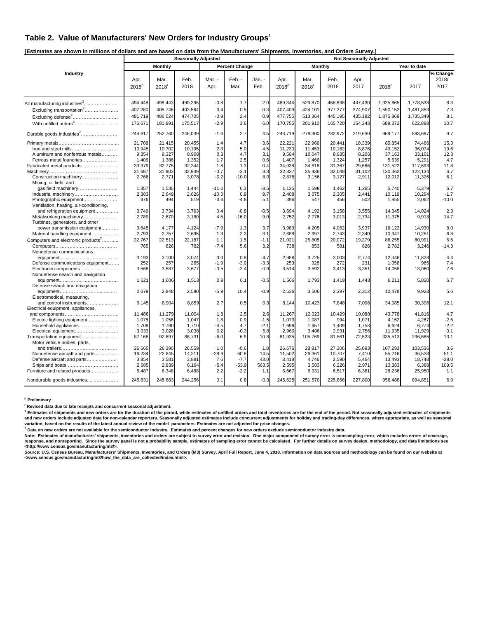#### **Table 2. Value of Manufacturers' New Orders for Industry Groups**<sup>1</sup>

**[Estimates are shown in millions of dollars and are based on data from the Manufacturers' Shipments, Inventories, and Orders Survey.]** 

|                                                                   |                           |                           | <b>Seasonally Adjusted</b> |                |                       |                | <b>Not Seasonally Adjusted</b> |                           |              |              |                   |              |                           |  |
|-------------------------------------------------------------------|---------------------------|---------------------------|----------------------------|----------------|-----------------------|----------------|--------------------------------|---------------------------|--------------|--------------|-------------------|--------------|---------------------------|--|
|                                                                   |                           | <b>Monthly</b>            |                            |                | <b>Percent Change</b> |                |                                | <b>Monthly</b>            |              |              |                   | Year to date |                           |  |
| Industry                                                          | Apr.<br>2018 <sup>p</sup> | Mar.<br>2018 <sup>r</sup> | Feb.<br>2018               | Mar. -<br>Apr. | Feb. -<br>Mar.        | Jan. -<br>Feb. | Apr.<br>2018 <sup>p</sup>      | Mar.<br>2018 <sup>r</sup> | Feb.<br>2018 | Apr.<br>2017 | 2018 <sup>p</sup> | 2017         | % Change<br>2018/<br>2017 |  |
| All manufacturing industries <sup>2</sup>                         | 494,448                   | 498,443                   | 490,295                    | $-0.8$         | 1.7                   | 2.0            | 489,344                        | 529,870                   | 458,838      | 447,430      | 1,925,665         | 1,778,538    | 8.3                       |  |
| Excluding transportation <sup>2</sup>                             | 407,280                   | 405,746                   | 403,564                    | 0.4            | 0.5                   | 0.3            | 407,409                        | 424,101                   | 377,277      | 374,907      | 1,590,152         | 1,481,853    | 7.3                       |  |
| Excluding defense <sup>2</sup>                                    | 481,719                   | 486,024                   | 474,705                    | $-0.9$         | 2.4                   | 0.9            | 477,755                        | 513,364                   | 445,195      | 435,182      | 1,875,869         | 1,735,349    | 8.1                       |  |
| With unfilled orders <sup>2</sup>                                 | 176,671                   | 181,891                   | 175,517                    | $-2.9$         | 3.6                   | 6.0            | 170,755                        | 201,910                   | 165,720      | 154,343      | 689,372           | 622,898      | 10.7                      |  |
| Durable goods industries <sup>2</sup>                             | 248,617                   | 252,760                   | 246,039                    | $-1.6$         | 2.7                   | 4.5            | 243,719                        | 278,300                   | 232,972      | 219,630      | 969.177           | 883,687      | 9.7                       |  |
|                                                                   | 21,708                    | 21,415                    | 20,455                     | 1.4            | 4.7                   | 3.6            | 22,221                         | 22,966                    | 20,441       | 18,339       | 85,854            | 74,466       | 15.3                      |  |
| Iron and steel mills                                              | 10,945                    | 10,702                    | 10,195                     | 2.3            | 5.0                   | 4.5            | 11,230                         | 11,453                    | 10,182       | 8,876        | 43,152            | 36,074       | 19.6                      |  |
| Aluminum and nonferrous metals                                    | 9,354                     | 9,327                     | 8,908                      | 0.3            | 4.7                   | 3.1            | 9,584                          | 10,047                    | 8,935        | 8,206        | 37,163            | 33,101       | 12.3                      |  |
| Ferrous metal foundries                                           | 1.409                     | 1,386                     | 1,352                      | 1.7            | 2.5                   | 0.6            | 1.407                          | 1,466                     | 1,324        | 1,257        | 5,539             | 5,291        | 4.7                       |  |
| Fabricated metal products                                         | 33,379                    | 32,775                    | 32,344                     | 1.8            | 1.3                   | 0.4            | 34,038                         | 34,818                    | 31,367       | 29,666       | 131,522           | 117,693      | 11.8                      |  |
|                                                                   | 31,687                    | 31,903                    | 32,939                     | $-0.7$         | $-3.1$                | 3.3            | 32,337                         | 35,436                    | 32,048       | 31,102       | 130,362           | 122,134      | 6.7                       |  |
| Construction machinery<br>Mining, oil field, and                  | 2,766                     | 2,771                     | 3,078                      | $-0.2$         | $-10.0$               | 8.0            | 2,878                          | 3,156                     | 3,127        | 2,911        | 12,012            | 11,326       | 6.1                       |  |
| gas field machinery                                               | 1,357                     | 1,535                     | 1,444                      | $-11.6$        | 6.3                   | $-8.5$         | 1,125                          | 1,598                     | 1,462        | 1,265        | 5,740             | 5,379        | 6.7                       |  |
| Industrial machinery                                              | 2,383                     | 2,649                     | 2,626                      | $-10.0$        | 0.9                   | 9.7            | 2,408                          | 3,075                     | 2,305        | 2,441        | 10,119            | 10,294       | $-1.7$                    |  |
| Photographic equipment<br>Ventilation, heating, air-conditioning, | 476                       | 494                       | 519                        | $-3.6$         | $-4.8$                | 5.1            | 396                            | 547                       | 456          | 502          | 1,855             | 2,062        | $-10.0$                   |  |
| and refrigeration equipment                                       | 3,749                     | 3,734                     | 3,763                      | 0.4            | $-0.8$                | $-0.5$         | 3,694                          | 4,192                     | 3,158        | 3,555        | 14.345            | 14.024       | 2.3                       |  |
| Metalworking machinery                                            | 2,789                     | 2,670                     | 3,180                      | 4.5            | $-16.0$               | 9.0            | 2,752                          | 2,776                     | 3,013        | 2,734        | 11,375            | 9,918        | 14.7                      |  |
| Turbines, generators, and other                                   |                           |                           |                            |                |                       |                |                                |                           |              |              |                   |              |                           |  |
| power transmission equipment                                      | 3.845                     | 4.177                     | 4.124                      | -7.9           | 1.3                   | 3.7            | 3.983                          | 4.205                     | 4.062        | 3.937        | 16.122            | 14.930       | 8.0                       |  |
| Material handling equipment                                       | 2,793                     | 2.757                     | 2.695                      | 1.3            | 2.3                   | 3.1            | 2.688                          | 2.997                     | 2.743        | 2.340        | 10.947            | 10.251       | 6.8                       |  |
| Computers and electronic products <sup>2</sup>                    | 22,767                    | 22,513                    | 22,187                     | 1.1            | 1.5                   | $-1.1$         | 21,021                         | 25,805                    | 20,072       | 19,279       | 86,255            | 80,991       | 6.5                       |  |
| Nondefense communications                                         | 765                       | 826                       | 782                        | $-7.4$         | 5.6                   | 3.2            | 738                            | 853                       | 581          | 826          | 2,782             | 3,246        | $-14.3$                   |  |
|                                                                   | 3,193                     | 3,100                     | 3.074                      | 3.0            | 0.8                   | $-4.7$         | 2,988                          | 3,725                     | 3,003        | 2.774        | 12.346            | 11.828       | 4.4                       |  |
| Defense communications equipment                                  | 252                       | 257                       | 265                        | $-1.9$         | $-3.0$                | $-3.3$         | 253                            | 328                       | 272          | 231          | 1,058             | 985          | 7.4                       |  |
| Electronic components                                             | 3,568                     | 3,587                     | 3,677                      | $-0.5$         | $-2.4$                | $-0.9$         | 3,514                          | 3,592                     | 3,413        | 3,351        | 14,058            | 13,060       | 7.6                       |  |
| Nondefense search and navigation                                  |                           |                           |                            |                |                       |                |                                |                           |              |              |                   |              |                           |  |
| Defense search and navigation                                     | 1,621                     | 1,606                     | 1,513                      | 0.9            | 6.1                   | $-0.5$         | 1,566                          | 1,793                     | 1,419        | 1,443        | 6,211             | 5,820        | 6.7                       |  |
|                                                                   | 2,679                     | 2,848                     | 2,580                      | $-5.9$         | 10.4                  | $-0.9$         | 2,536                          | 3,506                     | 2,397        | 2,312        | 10,478            | 9,923        | 5.6                       |  |
| Electromedical, measuring,                                        |                           |                           |                            |                |                       |                |                                |                           |              |              |                   |              |                           |  |
| and control instruments                                           | 9,145                     | 8,904                     | 8,859                      | 2.7            | 0.5                   | 0.3            | 8,144                          | 10,423                    | 7,848        | 7,096        | 34,085            | 30,396       | 12.1                      |  |
| Electrical equipment, appliances,                                 |                           |                           |                            |                |                       |                |                                |                           |              |              |                   |              |                           |  |
|                                                                   | 11,486                    | 11,279                    | 11,004                     | 1.8            | 2.5                   | 2.6            | 11,267                         | 12,023                    | 10,429       | 10,088       | 43,778            | 41,816       | 4.7                       |  |
| Electric lighting equipment                                       | 1,075                     | 1,056                     | 1,047                      | 1.8            | 0.9                   | $-1.5$         | 1,073                          | 1,087                     | 994          | 1,071        | 4,162             | 4,267        | $-2.5$                    |  |
| Household appliances                                              | 1,709                     | 1,790                     | 1,710                      | $-4.5$         | 4.7                   | $-2.1$         | 1,699                          | 1,957                     | 1,409        | 1,753        | 6,624             | 6,774        | $-2.2$                    |  |
| Electrical equipment                                              | 3,033                     | 3,028                     | 3,038                      | 0.2            | $-0.3$                | 5.8            | 2,960                          | 3,406                     | 2,931        | 2,756        | 11,935            | 11,929       | 0.1                       |  |
| Transportation equipment<br>Motor vehicle bodies, parts,          | 87,168                    | 92,697                    | 86,731                     | $-6.0$         | 6.9                   | 10.8           | 81,935                         | 105,769                   | 81,561       | 72,523       | 335,513           | 296,685      | 13.1                      |  |
|                                                                   | 26,665                    | 26,390                    | 26,559                     | 1.0            | $-0.6$                | 1.8            | 26,676                         | 28,817                    | 27,306       | 25,093       | 107,293           | 103,536      | 3.6                       |  |
| Nondefense aircraft and parts                                     | 16,234                    | 22,845                    | 14,211                     | $-28.9$        | 60.8                  | 14.5           | 11,502                         | 26,361                    | 10,707       | 7,410        | 55,216            | 36,538       | 51.1                      |  |
| Defense aircraft and parts                                        | 3,854                     | 3,581                     | 3,881                      | 7.6            | $-7.7$                | 43.0           | 3,418                          | 4,746                     | 2,590        | 5,464        | 13,493            | 18,748       | $-28.0$                   |  |
|                                                                   | 2,685                     | 2,839                     | 6,164                      | $-5.4$         | $-53.9$               | 563.5          | 2,595                          | 3,503                     | 6,226        | 2,971        | 13,383            | 6,388        | 109.5                     |  |
| Furniture and related products                                    | 6,487                     | 6,348                     | 6,488                      | 2.2            | $-2.2$                | 1.1            | 6,667                          | 6,931                     | 6,517        | 6,361        | 26,236            | 25,950       | 1.1                       |  |
| Nondurable goods industries                                       | 245.831                   | 245,683                   | 244.256                    | 0.1            | 0.6                   | $-0.3$         | 245,625                        | 251,570                   | 225,866      | 227,800      | 956.488           | 894.851      | 6.9                       |  |

**p Preliminary** 

**r Revised data due to late receipts and concurrent seasonal adjustment.** 

<sup>1</sup> Estimates of shipments and new orders are for the duration of the period, while estimates of unfilled orders and total inventories are for the end of the period. Not seasonally adjusted estimates of shipments **and new orders include adjusted data for non-calendar reporters. Seasonally adjusted estimates include concurrent adjustments for holiday and trading-day differences, where appropriate, as well as seasonal variation, based on the results of the latest annual review of the model parameters. Estimates are not adjusted for price changes. 2**

ʹ Data on new orders are not available for the semiconductor industry. Estimates and percent changes for new orders exclude semiconductor industry data.<br>Note: Estimates of manufacturers' shipments, inventories are sub

≺http://www.census.gov/manufacturing/m3/>.<br>Source: U.S. Census Bureau, Manufacturers' Shipments, Inventories, and Orders (M3) Survey, April Full Report, June 4, 2018. Information on data sources and methodology can be fou **<www.census.gov/manufacturing/m3/how\_the\_data\_are\_collected/index.html>.**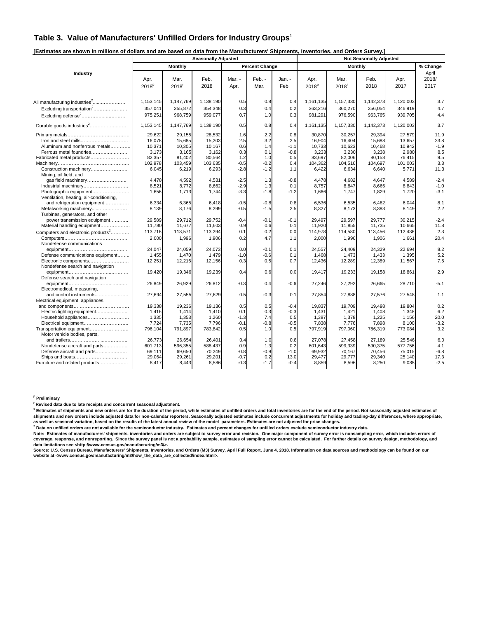#### **Table 3. Value of Manufacturers' Unfilled Orders for Industry Groups**<sup>1</sup>

| [Estimates are shown in millions of dollars and are based on data from the Manufacturers' Shipments, Inventories, and Orders Survey.] |
|---------------------------------------------------------------------------------------------------------------------------------------|
|---------------------------------------------------------------------------------------------------------------------------------------|

|                                                                                                                                          |                                                                   |                                                                   | <b>Seasonally Adjusted</b>                                        |                                                     |                                                     |                                                     |                                                                   |                                                                   | <b>Not Seasonally Adjusted</b>                                    |                                                                   |                                                     |
|------------------------------------------------------------------------------------------------------------------------------------------|-------------------------------------------------------------------|-------------------------------------------------------------------|-------------------------------------------------------------------|-----------------------------------------------------|-----------------------------------------------------|-----------------------------------------------------|-------------------------------------------------------------------|-------------------------------------------------------------------|-------------------------------------------------------------------|-------------------------------------------------------------------|-----------------------------------------------------|
|                                                                                                                                          |                                                                   | Monthly                                                           |                                                                   |                                                     | <b>Percent Change</b>                               |                                                     |                                                                   |                                                                   | <b>Monthly</b>                                                    |                                                                   | % Change                                            |
| Industry                                                                                                                                 | Apr.<br>2018 <sup>p</sup>                                         | Mar.<br>2018 <sup>r</sup>                                         | Feb.<br>2018                                                      | Mar. -<br>Apr.                                      | Feb. -<br>Mar.                                      | Jan. -<br>Feb.                                      | Apr.<br>2018 <sup>p</sup>                                         | Mar.<br>2018 <sup>r</sup>                                         | Feb.<br>2018                                                      | Apr.<br>2017                                                      | April<br>2018/<br>2017                              |
| All manufacturing industries <sup>2</sup><br>Excluding transportation <sup>2</sup>                                                       | 1,153,145<br>357,041                                              | 1,147,769<br>355,872                                              | 1,138,190<br>354,348                                              | 0.5<br>0.3                                          | 0.8<br>0.4                                          | 0.4<br>0.2                                          | 1,161,135<br>363,216                                              | 1,157,330<br>360,270                                              | 1,142,373<br>356,054                                              | 1,120,003<br>346,919                                              | 3.7<br>4.7                                          |
| Excluding defense <sup>2</sup>                                                                                                           | 975,251                                                           | 968,759                                                           | 959,077                                                           | 0.7                                                 | 1.0                                                 | 0.3                                                 | 981,291                                                           | 976,590                                                           | 963,765                                                           | 939,705                                                           | 4.4                                                 |
| Durable goods industries <sup>2</sup>                                                                                                    | 1,153,145                                                         | 1,147,769                                                         | 1,138,190                                                         | 0.5                                                 | 0.8                                                 | 0.4                                                 | 1,161,135                                                         | 1,157,330                                                         | 1,142,373                                                         | 1,120,003                                                         | 3.7                                                 |
| Iron and steel mills<br>Aluminum and nonferrous metals<br>Ferrous metal foundries<br>Fabricated metal products<br>Construction machinery | 29.622<br>16,078<br>10,371<br>3,173<br>82,357<br>102,978<br>6,045 | 29,155<br>15,685<br>10,305<br>3,165<br>81,402<br>103,459<br>6,219 | 28.532<br>15,203<br>10,167<br>3,162<br>80,564<br>103,635<br>6,293 | 1.6<br>2.5<br>0.6<br>0.3<br>1.2<br>$-0.5$<br>$-2.8$ | 2.2<br>3.2<br>1.4<br>0.1<br>1.0<br>$-0.2$<br>$-1.2$ | 0.8<br>2.5<br>$-1.1$<br>$-0.8$<br>0.5<br>0.4<br>1.1 | 30.870<br>16.904<br>10,733<br>3,233<br>83,697<br>104,362<br>6,422 | 30,257<br>16,404<br>10,623<br>3,230<br>82,006<br>104,516<br>6,634 | 29.394<br>15,688<br>10,468<br>3,238<br>80,158<br>104,697<br>6,640 | 27.579<br>13.657<br>10,942<br>2,980<br>76,415<br>101,003<br>5,771 | 11.9<br>23.8<br>$-1.9$<br>8.5<br>9.5<br>3.3<br>11.3 |
| Mining, oil field, and<br>Industrial machinery<br>Photographic equipment<br>Ventilation, heating, air-conditioning,                      | 4,478<br>8,521<br>1,656                                           | 4,592<br>8,772<br>1,713                                           | 4,531<br>8,662<br>1,744                                           | $-2.5$<br>$-2.9$<br>$-3.3$                          | 1.3<br>1.3<br>$-1.8$                                | $-0.8$<br>0.1<br>$-1.2$                             | 4,478<br>8,757<br>1,666                                           | 4,682<br>8,847<br>1,747                                           | 4,647<br>8,665<br>1,829                                           | 4,589<br>8,843<br>1,720                                           | $-2.4$<br>$-1.0$<br>$-3.1$                          |
| and refrigeration equipment<br>Metalworking machinery<br>Turbines, generators, and other                                                 | 6,334<br>8,139                                                    | 6,365<br>8,176                                                    | 6,418<br>8,299                                                    | $-0.5$<br>$-0.5$                                    | $-0.8$<br>$-1.5$                                    | 0.8<br>2.5                                          | 6,536<br>8,327                                                    | 6,535<br>8,173                                                    | 6,482<br>8,383                                                    | 6.044<br>8,149                                                    | 8.1<br>2.2                                          |
| power transmission equipment<br>Material handling equipment<br>Computers and electronic products <sup>2</sup>                            | 29,589<br>11,780<br>113,716                                       | 29,712<br>11,677<br>113,571                                       | 29,752<br>11,603<br>113,294                                       | $-0.4$<br>0.9<br>0.1                                | $-0.1$<br>0.6<br>0.2                                | $-0.1$<br>0.1<br>0.0                                | 29,497<br>11,920<br>114,978                                       | 29,597<br>11,855<br>114,580                                       | 29,777<br>11,735<br>113,456                                       | 30,215<br>10,665<br>112,436                                       | $-2.4$<br>11.8<br>2.3                               |
| Nondefense communications                                                                                                                | 2,000                                                             | 1,996                                                             | 1,906                                                             | 0.2                                                 | 4.7                                                 | 1.1                                                 | 2,000                                                             | 1,996                                                             | 1,906                                                             | 1,661                                                             | 20.4                                                |
| Defense communications equipment<br>Electronic components<br>Nondefense search and navigation                                            | 24.047<br>1,455<br>12,251                                         | 24,059<br>1,470<br>12,216                                         | 24.073<br>1,479<br>12,156                                         | 0.0<br>$-1.0$<br>0.3                                | $-0.1$<br>$-0.6$<br>0.5                             | 0.1<br>0.1<br>0.7                                   | 24.557<br>1,468<br>12,436                                         | 24,409<br>1,473<br>12,289                                         | 24,329<br>1,433<br>12,389                                         | 22.694<br>1,395<br>11,567                                         | 8.2<br>5.2<br>7.5                                   |
| Defense search and navigation                                                                                                            | 19,420                                                            | 19,346                                                            | 19,239                                                            | 0.4                                                 | 0.6                                                 | 0.0                                                 | 19,417                                                            | 19,233                                                            | 19,158                                                            | 18,861                                                            | 2.9                                                 |
| Electromedical, measuring,<br>and control instruments                                                                                    | 26,849<br>27,694                                                  | 26,929<br>27,555                                                  | 26,812<br>27,629                                                  | $-0.3$<br>0.5                                       | 0.4<br>$-0.3$                                       | $-0.6$<br>0.1                                       | 27,246<br>27,854                                                  | 27,292<br>27,888                                                  | 26,665<br>27,576                                                  | 28,710<br>27,548                                                  | $-5.1$<br>1.1                                       |
| Electrical equipment, appliances,                                                                                                        | 19.338                                                            | 19,236                                                            | 19.136                                                            | 0.5                                                 | 0.5                                                 | $-0.4$                                              | 19.837                                                            | 19.709                                                            | 19.498                                                            | 19.804                                                            | 0.2                                                 |
| Electric lighting equipment<br>Household appliances<br>Electrical equipment<br>Transportation equipment                                  | 1,416<br>1,335<br>7,724<br>796,104                                | 1,414<br>1,353<br>7,735<br>791,897                                | 1.410<br>1,260<br>7,796<br>783,842                                | 0.1<br>$-1.3$<br>$-0.1$<br>0.5                      | 0.3<br>7.4<br>$-0.8$<br>1.0                         | $-0.3$<br>0.5<br>$-0.5$<br>0.5                      | 1,431<br>1,387<br>7,838<br>797,919                                | 1,421<br>1,378<br>7,776<br>797,060                                | 1.408<br>1,225<br>7,898<br>786,319                                | 1,348<br>1,156<br>8,100<br>773,084                                | 6.2<br>20.0<br>$-3.2$<br>3.2                        |
| Motor vehicle bodies, parts,<br>Nondefense aircraft and parts<br>Defense aircraft and parts<br>Furniture and related products            | 26,773<br>601,713<br>69,111<br>29,064<br>8,417                    | 26,654<br>596,355<br>69,650<br>29,261<br>8,443                    | 26,401<br>588,437<br>70,249<br>29,201<br>8,586                    | 0.4<br>0.9<br>$-0.8$<br>$-0.7$<br>$-0.3$            | 1.0<br>1.3<br>$-0.9$<br>0.2<br>$-1.7$               | 0.8<br>0.2<br>$-1.0$<br>13.0<br>$-0.4$              | 27,078<br>601,643<br>69,932<br>29.477<br>8,859                    | 27,458<br>599,339<br>70,167<br>29,777<br>8.596                    | 27,189<br>590,375<br>70,456<br>29,340<br>8,250                    | 25,546<br>577,756<br>75,015<br>25,140<br>9,085                    | 6.0<br>4.1<br>$-6.8$<br>17.3<br>$-2.5$              |

#### **p Preliminary**

**r Revised data due to late receipts and concurrent seasonal adjustment.** 

<sup>1</sup> Estimates of shipments and new orders are for the duration of the period, while estimates of unfilled orders and total inventories are for the end of the period. Not seasonally adjusted estimates of shipments and new orders include adjusted data for non-calendar reporters. Seasonally adjusted estimates include concurrent adjustments for holiday and trading-day differences, where appropriate,<br>as well as seasonal vari

 **Data on unfilled orders are not available for the semiconductor industry. Estimates and percent changes for unfilled orders exclude semiconductor industry data.** 

Note: Estimates of manufacturers' shipments, inventories and orders are subject to survey error and revision. One major component of survey error is nonsampling error, which includes errors of<br>coverage, response, and nonre **data limitations see <http://www.census.gov/manufacturing/m3/>.** 

Source: U.S. Census Bureau, Manufacturers' Shipments, Inventories, and Orders (M3) Survey, April Full Report, June 4, 2018. Information on data sources and methodology can be found on our<br>website at ⊲www.census.gov/manufa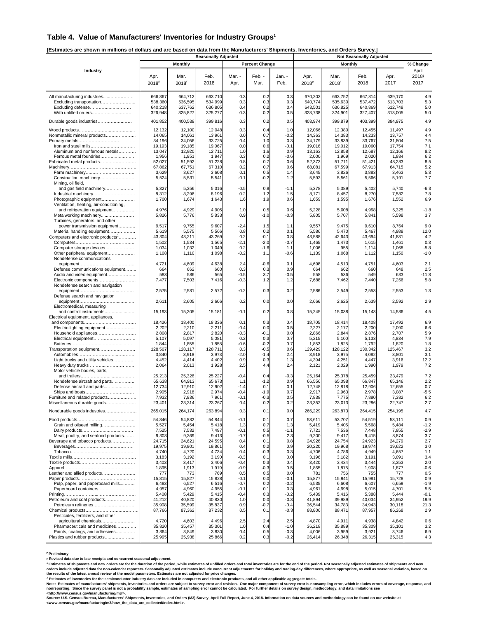#### **Table 4. Value of Manufacturers' Inventories for Industry Groups**<sup>1</sup>

**[Estimates are shown in millions of dollars and are based on data from the Manufacturers' Shipments, Inventories, and Orders Survey.]** 

|                                                                               |                    |                    | <b>Seasonally Adjusted</b> |                |                       | L'Orinales ale Shown in minons of donals and ale based on data hom the manufacturers "omphiems, inventones, and Orders Ourvey<br><b>Not Seasonally Adjusted</b> |                           |                             |                    |                    |                        |  |
|-------------------------------------------------------------------------------|--------------------|--------------------|----------------------------|----------------|-----------------------|-----------------------------------------------------------------------------------------------------------------------------------------------------------------|---------------------------|-----------------------------|--------------------|--------------------|------------------------|--|
|                                                                               |                    | <b>Monthly</b>     |                            |                | <b>Percent Change</b> |                                                                                                                                                                 |                           | Monthly                     |                    |                    | % Change               |  |
| Industry                                                                      | Apr.<br>$2018^p$   | Mar.<br>2018       | Feb.<br>2018               | Mar. -<br>Apr. | Feb. -<br>Mar.        | Jan. -<br>Feb.                                                                                                                                                  | Apr.<br>2018 <sup>p</sup> | Mar.<br>$2018$ <sup>r</sup> | Feb.<br>2018       | Apr.<br>2017       | April<br>2018/<br>2017 |  |
|                                                                               |                    |                    |                            |                |                       |                                                                                                                                                                 |                           |                             |                    |                    |                        |  |
| All manufacturing industries                                                  | 666,867            | 664,712            | 663.710                    | 0.3            | 0.2                   | 0.3                                                                                                                                                             | 670,203                   | 663,752                     | 667,814            | 639,170            | 4.9                    |  |
| Excluding transportation                                                      | 538,360            | 536,595            | 534,999                    | 0.3            | 0.3                   | 0.3                                                                                                                                                             | 540,774                   | 535,630                     | 537,472            | 513,703            | 5.3                    |  |
| Excluding defense<br>With unfilled orders                                     | 640,218<br>326,948 | 637,762<br>325,827 | 636,805<br>325,277         | 0.4<br>0.3     | 0.2<br>0.2            | 0.4<br>0.5                                                                                                                                                      | 643,501<br>328,738        | 636,825<br>324,901          | 640,869<br>327,407 | 612,748<br>313,005 | 5.0<br>5.0             |  |
|                                                                               |                    |                    |                            |                |                       |                                                                                                                                                                 |                           |                             |                    |                    |                        |  |
| Durable goods industries                                                      | 401,852            | 400,538            | 399,816                    | 0.3            | 0.2                   | 0.5                                                                                                                                                             | 403,974                   | 399,879                     | 403,399            | 384,975            | 4.9                    |  |
|                                                                               | 12,132             | 12,100             | 12,048                     | 0.3            | 0.4                   | 1.0                                                                                                                                                             | 12,066                    | 12,380                      | 12,455             | 11,497             | 4.9                    |  |
| Nonmetallic mineral products                                                  | 14,065             | 14,061             | 13,961                     | 0.0            | 0.7                   | $-0.2$                                                                                                                                                          | 14,363                    | 14,383                      | 14,233             | 13,757             | 4.4                    |  |
| Iron and steel mills                                                          | 34,196<br>19,193   | 34,056<br>19,185   | 33,725<br>19,067           | 0.4<br>0.0     | 1.0<br>0.6            | 0.3<br>$-0.1$                                                                                                                                                   | 34,179<br>19,016          | 33,839<br>19,012            | 33,767<br>19,060   | 31,804<br>17,754   | 7.5<br>7.1             |  |
| Aluminum and nonferrous metals                                                | 13,047             | 12,920             | 12,711                     | 1.0            | 1.6                   | 0.9                                                                                                                                                             | 13,163                    | 12,858                      | 12,687             | 12,166             | 8.2                    |  |
| Ferrous metal foundries                                                       | 1,956              | 1,951              | 1,947                      | 0.3            | 0.2                   | $-0.6$                                                                                                                                                          | 2,000                     | 1,969                       | 2,020              | 1,884              | 6.2                    |  |
| Fabricated metal products                                                     | 52,027             | 51,592             | 51,228                     | 0.8            | 0.7                   | 0.6                                                                                                                                                             | 52,373                    | 51,711                      | 51,421             | 48,283             | 8.5                    |  |
|                                                                               | 67,862             | 67,751             | 67,310                     | 0.2            | 0.7                   | 0.6                                                                                                                                                             | 68,08'                    | 67,599                      | 67,913             | 64,715             | 5.2                    |  |
| Construction machinery                                                        | 3,629<br>5,524     | 3,627<br>5,531     | 3,608<br>5,541             | 0.1<br>$-0.1$  | 0.5<br>$-0.2$         | 1.4<br>1.2                                                                                                                                                      | 3,645<br>5,593            | 3,826<br>5,561              | 3,883<br>5,566     | 3,463<br>5,191     | 5.3<br>7.7             |  |
| Mining, oil field,                                                            |                    |                    |                            |                |                       |                                                                                                                                                                 |                           |                             |                    |                    |                        |  |
| and gas field machinery                                                       | 5,327              | 5,356              | 5,316                      | $-0.5$         | 0.8                   | $-1.1$                                                                                                                                                          | 5,378                     | 5,389                       | 5,402              | 5,740              | $-6.3$                 |  |
| Industrial machinery                                                          | 8,312              | 8,296              | 8,196                      | 0.2            | 1.2                   | 1.5                                                                                                                                                             | 8,171                     | 8,457                       | 8,270              | 7,582              | 7.8                    |  |
| Photographic equipment<br>Ventilation, heating, air-conditioning,             | 1,700              | 1,674              | 1,643                      | 1.6            | 1.9                   | 0.6                                                                                                                                                             | 1,659                     | 1,595                       | 1,676              | 1,552              | 6.9                    |  |
| and refrigeration equipment                                                   | 4,976              | 4,929              | 4,905                      | 1.0            | 0.5                   | 0.6                                                                                                                                                             | 5,228                     | 5,008                       | 4,998              | 5,325              | $-1.8$                 |  |
| Metalworking machinery                                                        | 5,826              | 5,776              | 5,833                      | 0.9            | $-1.0$                | $-0.3$                                                                                                                                                          | 5,805                     | 5,707                       | 5,841              | 5,598              | 3.7                    |  |
| Turbines, generators, and other                                               |                    |                    |                            |                |                       |                                                                                                                                                                 |                           |                             |                    |                    |                        |  |
| power transmission equipment                                                  | 9,517              | 9,755              | 9,607                      | $-2.4$         | 1.5                   | 1.1                                                                                                                                                             | 9,557                     | 9,475                       | 9,610              | 8,764              | 9.0                    |  |
| Material handling equipment<br>Computers and electronic products <sup>2</sup> | 5,619<br>43,304    | 5,575<br>43,211    | 5,566<br>43,269            | 0.8<br>0.2     | 0.2<br>$-0.1$         | 0.1<br>0.8                                                                                                                                                      | 5,586<br>43,588           | 5,470<br>42,643             | 5,467<br>43,694    | 4,988<br>41,831    | 12.0<br>4.2            |  |
|                                                                               | 1,502              | 1,534              | 1,565                      | $-2.1$         | $-2.0$                | $-0.7$                                                                                                                                                          | 1,465                     | 1,473                       | 1,615              | 1,461              | 0.3                    |  |
| Computer storage devices                                                      | 1,034              | 1,032              | 1,049                      | 0.2            | -1.6                  | 1.1                                                                                                                                                             | 1,006                     | 955                         | 1,114              | 1,068              | $-5.8$                 |  |
| Other peripheral equipment                                                    | 1,108              | 1,110              | 1,098                      | $-0.2$         | 1.1                   | $-0.6$                                                                                                                                                          | 1,139                     | 1,068                       | 1,112              | 1,150              | $-1.0$                 |  |
| Nondefense communications                                                     |                    |                    |                            |                |                       |                                                                                                                                                                 |                           |                             |                    |                    |                        |  |
| Defense communications equipment                                              | 4,721<br>664       | 4,609<br>662       | 4,638<br>660               | 2.4<br>0.3     | $-0.6$<br>0.3         | 0.1<br>0.9                                                                                                                                                      | 4,698<br>664              | 4,513<br>662                | 4,751<br>660       | 4,603<br>648       | 2.1<br>2.5             |  |
| Audio and video equipment                                                     | 583                | 586                | 565                        | $-0.5$         | 3.7                   | $-0.5$                                                                                                                                                          | 558                       | 536                         | 549                | 633                | $-11.8$                |  |
| Electronic components                                                         | 7,477              | 7,503              | 7,416                      | $-0.3$         | 1.2                   | 1.2                                                                                                                                                             | 7,688                     | 7,462                       | 7,440              | 7,266              | 5.8                    |  |
| Nondefense search and navigation                                              |                    |                    |                            |                |                       |                                                                                                                                                                 |                           |                             |                    |                    |                        |  |
|                                                                               | 2,575              | 2,581              | 2,572                      | $-0.2$         | 0.3                   | 0.2                                                                                                                                                             | 2,586                     | 2,549                       | 2,553              | 2,553              | 1.3                    |  |
| Defense search and navigation                                                 | 2,611              | 2,605              | 2,606                      | 0.2            | 0.0                   | 0.0                                                                                                                                                             | 2,666                     | 2,625                       | 2,639              | 2,592              | 2.9                    |  |
| Electromedical, measuring                                                     |                    |                    |                            |                |                       |                                                                                                                                                                 |                           |                             |                    |                    |                        |  |
| and control instruments                                                       | 15,193             | 15,205             | 15,181                     | $-0.1$         | 0.2                   | 0.8                                                                                                                                                             | 15,245                    | 15,038                      | 15,143             | 14,586             | 4.5                    |  |
| Electrical equipment, appliances,                                             |                    |                    |                            |                |                       |                                                                                                                                                                 |                           |                             |                    |                    |                        |  |
| Electric lighting equipment                                                   | 18,426<br>2,202    | 18,400<br>2,210    | 18,336<br>2,211            | 0.1<br>$-0.4$  | 0.3<br>0.0            | 0.4<br>0.5                                                                                                                                                      | 18,705<br>2,227           | 18,414<br>2,177             | 18,408<br>2,200    | 17,492<br>2,090    | 6.9<br>6.6             |  |
|                                                                               | 2,808              | 2,817              | 2,820                      | $-0.3$         | -0.1                  | 0.0                                                                                                                                                             | 2,866                     | 2,844                       | 2,876              | 2,707              | 5.9                    |  |
| Electrical equipment                                                          | 5,107              | 5,097              | 5,081                      | 0.2            | 0.3                   | 0.7                                                                                                                                                             | 5,215                     | 5,100                       | 5,133              | 4,834              | 7.9                    |  |
|                                                                               | 1,844              | 1,855              | 1,858                      | $-0.6$         | $-0.2$                | 0.7                                                                                                                                                             | 1,853                     | 1,825                       | 1,792              | 1,820              | 1.8                    |  |
| Transportation equipment                                                      | 128,507<br>3,840   | 128,117<br>3,918   | 128,711<br>3,973           | 0.3<br>$-2.0$  | $-0.5$<br>$-1.4$      | 0.6<br>2.4                                                                                                                                                      | 129,429<br>3,918          | 128,122<br>3,975            | 130,342<br>4,082   | 125,467<br>3,801   | 3.2<br>3.1             |  |
| Light trucks and utility vehicles                                             | 4,452              | 4,414              | 4,402                      | 0.9            | 0.3                   | 1.3                                                                                                                                                             | 4,394                     | 4,251                       | 4,447              | 3,916              | 12.2                   |  |
| Heavy duty trucks                                                             | 2,064              | 2,013              | 1,928                      | 2.5            | 4.4                   | 2.4                                                                                                                                                             | 2,121                     | 2,029                       | 1,990              | 1,979              | 7.2                    |  |
| Motor vehicle bodies, parts,                                                  |                    |                    |                            |                |                       |                                                                                                                                                                 |                           |                             |                    |                    |                        |  |
| Nondefense aircraft and parts                                                 | 25,213<br>65,638   | 25,326<br>64,913   | 25,227<br>65,673           | $-0.4$<br>1.1  | 0.4<br>-1.2           | $-0.3$<br>0.9                                                                                                                                                   | 25,164<br>66,556          | 25,378<br>65,098            | 25,459<br>66,847   | 23,479<br>65,146   | 7.2<br>2.2             |  |
| Defense aircraft and parts                                                    | 12,734             | 12,910             | 12,902                     | $-1.4$         | 0.1                   | 0.1                                                                                                                                                             | 12,748                    | 12,818                      | 12,906             | 12,655             | 0.7                    |  |
|                                                                               | 2,905              | 2,918              | 2,974                      | $-0.4$         | $-1.9$                | 0.7                                                                                                                                                             | 2,917                     | 2,963                       | 2,978              | 3,087              | $-5.5$                 |  |
| Furniture and related products                                                | 7,932              | 7,936              | 7,961                      | $-0.1$         | $-0.3$                | 0.5                                                                                                                                                             | 7,838                     | 7,775                       | 7,880              | 7,382              | 6.2                    |  |
| Miscellaneous durable goods                                                   | 23,401             | 23,314             | 23,267                     | 0.4            | 0.2                   | 0.2                                                                                                                                                             | 23,352                    | 23,013                      | 23,286             | 22,747             | 2.7                    |  |
| Nondurable goods industries                                                   | 265,015            | 264,174            | 263,894                    | 0.3            | 0.1                   | 0.0                                                                                                                                                             | 266,229                   | 263,873                     | 264,415            | 254,195            | 4.7                    |  |
|                                                                               | 54,846             | 54,882             | 54,844                     | $-0.1$         | 0.1                   | 0.7                                                                                                                                                             | 53,611                    | 53,707                      | 54,519             | 53,111             | 0.9                    |  |
| Grain and oilseed milling                                                     | 5,527              | 5,454              | 5,418                      | 1.3            | 0.7                   | 1.3                                                                                                                                                             | 5,419                     | 5,405                       | 5,568              | 5,484              | $-1.2$                 |  |
|                                                                               | 7,525              | 7,532              | 7,497                      | $-0.1$         | 0.5                   | $-1.1$                                                                                                                                                          | 7,721                     | 7,536                       | 7,448              | 7,955              | $-2.9$                 |  |
| Meat, poultry, and seafood products                                           | 9,303<br>24,715    | 9,369<br>24,621    | 9,413<br>24,595            | $-0.7$<br>0.4  | $-0.5$<br>0.1         | 2.3<br>0.8                                                                                                                                                      | 9,200<br>24,926           | 9,417<br>24,754             | 9,415<br>24,923    | 8,874<br>24,279    | 3.7<br>2.7             |  |
| Beverage and tobacco products                                                 | 19,975             | 19,901             | 19,861                     | 0.4            | 0.2                   | 0.9                                                                                                                                                             | 20,220                    | 19,968                      | 19,974             | 19,622             | 3.0                    |  |
|                                                                               | 4,740              | 4,720              | 4,734                      | 0.4            | $-0.3$                | 0.3                                                                                                                                                             | 4,706                     | 4,786                       | 4,949              | 4,657              | 1.1                    |  |
|                                                                               | 3,183              | 3,192              | 3,190                      | $-0.3$         | 0.1                   | 0.0                                                                                                                                                             | 3,196                     | 3,182                       | 3,191              | 3,091              | 3.4                    |  |
|                                                                               | 3,403              | 3,417              | 3,406                      | $-0.4$         | 0.3                   | 0.4                                                                                                                                                             | 3,420                     | 3,434                       | 3,444              | 3,353              | 2.0                    |  |
| Leather and allied products                                                   | 1,895<br>777       | 1,913<br>773       | 1,919<br>769               | $-0.9$<br>0.5  | $-0.3$<br>0.5         | 0.5<br>0.0                                                                                                                                                      | 1,865<br>78'              | 1,875<br>756                | 1,908<br>755       | 1,877<br>777       | $-0.6$<br>0.5          |  |
|                                                                               | 15,815             | 15,827             | 15,828                     | $-0.1$         | 0.0                   | $-0.1$                                                                                                                                                          | 15,877                    | 15,941                      | 15,981             | 15,728             | 0.9                    |  |
| Pulp, paper, and paperboard mills                                             | 6,483              | 6,527              | 6,516                      | $-0.7$         | 0.2                   | $-0.2$                                                                                                                                                          | 6,535                     | 6,608                       | 6,607              | 6,659              | $-1.9$                 |  |
|                                                                               | 4,957              | 4,960              | 4,955                      | $-0.1$         | 0.1                   | 0.3                                                                                                                                                             | 4,961                     | 4,998                       | 5,015              | 4,701              | 5.5                    |  |
| Petroleum and coal products                                                   | 5,408<br>41,212    | 5,429<br>40,820    | 5,415<br>40,830            | $-0.4$<br>1.0  | 0.3<br>0.0            | $-0.2$<br>$-0.3$                                                                                                                                                | 5,439<br>41,894           | 5,416<br>39,989             | 5,388<br>40,034    | 5,444<br>34,952    | $-0.1$<br>19.9         |  |
| Petroleum refineries                                                          | 35,908             | 35,599             | 35,837                     | 0.9            | $-0.7$                | $-0.4$                                                                                                                                                          | 36,544                    | 34,783                      | 34,943             | 30,118             | 21.3                   |  |
|                                                                               | 87,766             | 87,362             | 87,232                     | 0.5            | 0.1                   | $-0.3$                                                                                                                                                          | 88,806                    | 88,471                      | 87,957             | 86,268             | 2.9                    |  |
| Pesticides, fertilizers, and other                                            |                    |                    |                            |                |                       |                                                                                                                                                                 |                           |                             |                    |                    |                        |  |
| agricultural chemicals                                                        | 4,720              | 4,603              | 4,496                      | 2.5            | 2.4                   | 2.5                                                                                                                                                             | 4,870                     | 4,911                       | 4,938              | 4,842              | 0.6                    |  |
| Pharmaceuticals and medicines<br>Paints, coatings, and adhesives              | 35,820<br>3,864    | 35,457<br>3,849    | 35,301<br>3,830            | 1.0<br>0.4     | 0.4<br>0.5            | $-1.0$<br>$-0.3$                                                                                                                                                | 36,218<br>4,006           | 35,889<br>3,959             | 35,309<br>3,921    | 35,101<br>3,746    | 3.2<br>6.9             |  |
| Plastics and rubber products                                                  | 25,995             | 25,938             | 25,866                     | 0.2            | 0.3                   | $-0.2$                                                                                                                                                          | 26,414                    | 26,348                      | 26,315             | 25,315             | 4.3                    |  |

**p Preliminary r Revised data due to late receipts and concurrent seasonal adjustment.** 

<sup>1</sup> Estimates of shipments and new orders are for the duration of the period, while estimates of unfilled orders and total inventories are for the end of the period. Not seasonally adjusted estimates of shipments and new<br>o

<sup>2</sup> Estimates of inventories for the semiconductor industry data are included in computers and electronic products, and all other applicable aggregate totals.<br>Note: Estimates of manufacturers' shipments, inventories and or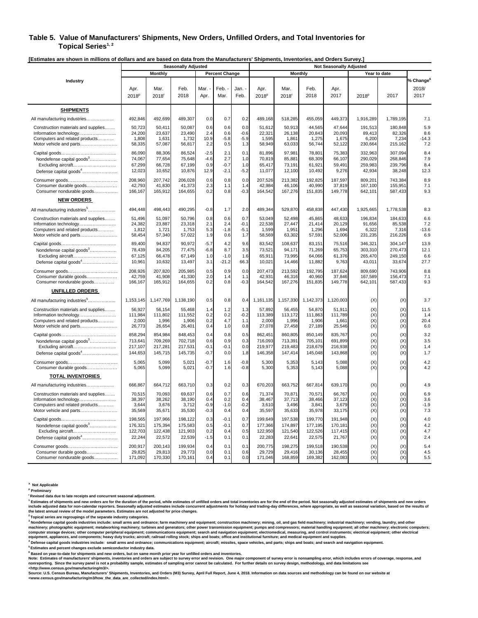#### **Table 5. Value of Manufacturers' Shipments, New Orders, Unfilled Orders, and Total Inventories for**  Topical Series<sup>1, 2</sup>

**[Estimates are shown in millions of dollars and are based on data from the Manufacturers' Shipments, Inventories, and Orders Survey.]** 

|                                           |                           |              | <b>Seasonally Adjusted</b> |                |                       |              | <b>Not Seasonally Adjusted</b> |                           |              |              |                   |              |                                        |
|-------------------------------------------|---------------------------|--------------|----------------------------|----------------|-----------------------|--------------|--------------------------------|---------------------------|--------------|--------------|-------------------|--------------|----------------------------------------|
|                                           |                           | Monthly      |                            |                | <b>Percent Change</b> |              |                                | Monthly                   |              |              |                   | Year to date |                                        |
| Industry                                  | Apr.<br>2018 <sup>p</sup> | Mar.<br>2018 | Feb.<br>2018               | Mar. -<br>Apr. | Feb.<br>Mar.          | Jan.<br>Feb. | Apr.<br>2018 <sup>p</sup>      | Mar.<br>2018 <sup>r</sup> | Feb.<br>2018 | Apr.<br>2017 | 2018 <sup>p</sup> | 2017         | % Change <sup>6</sup><br>2018/<br>2017 |
| <b>SHIPMENTS</b>                          |                           |              |                            |                |                       |              |                                |                           |              |              |                   |              |                                        |
| All manufacturing industries              | 492,846                   | 492,699      | 489,307                    | 0.0            | 0.7                   | 0.2          | 489,168                        | 518,285                   | 455,059      | 449,373      | 1,916,289         | 1,789,195    | 7.1                                    |
| Construction materials and supplies       | 50,723                    | 50,411       | 50,087                     | 0.6            | 0.6                   | 0.0          | 51,612                         | 50,913                    | 44,565       | 47,644       | 191,513           | 180,848      | 5.9                                    |
| Information technology                    | 24,200                    | 23,637       | 23,490                     | 2.4            | 0.6                   | $-0.6$       | 22,321                         | 26,138                    | 20,843       | 20,093       | 89,413            | 82,326       | 8.6                                    |
| Computers and related products            | 1,808                     | 1,63'        | 1,732                      | 10.9           | $-5.8$                | $-5.9$       | 1,595                          | 1,861                     | 1,275        | 1,675        | 6,200             | 7,234        | $-14.3$                                |
| Motor vehicle and parts                   | 58,335                    | 57,087       | 56,817                     | 2.2            | 0.5                   | 1.3          | 58,949                         | 63,033                    | 56,744       | 52,122       | 230,664           | 215,162      | 7.2                                    |
|                                           | 86,090                    | 88,306       | 86,524                     | $-2.5$         | 2.1                   | 0.1          | 81,896                         | 97,981                    | 78,801       | 75,383       | 332,963           | 307,094      | 8.4                                    |
| Nondefense capital goods <sup>3</sup>     | 74.067                    | 77.654       | 75.648                     | $-4.6$         | 2.7                   | 1.0          | 70.819                         | 85.881                    | 68.309       | 66.107       | 290.029           | 268.846      | 7.9                                    |
| Excluding aircraft                        | 67,299                    | 66,728       | 67,199                     | 0.9            | $-0.7$                | 1.0          | 65,417                         | 73,191                    | 61,921       | 59,491       | 259,983           | 239,796      | 8.4                                    |
| Defense capital goods <sup>4</sup>        | 12,023                    | 10,652       | 10,876                     | 12.9           | $-2.1$                | $-5.2$       | 11,077                         | 12,100                    | 10,492       | 9,276        | 42,934            | 38,248       | 12.3                                   |
|                                           | 208,960                   | 207,742      | 206,028                    | 0.6            | 0.8                   | 0.0          | 207,526                        | 213,382                   | 192,825      | 187,597      | 809,201           | 743,384      | 8.9                                    |
| Consumer durable goods                    | 42,793                    | 41,830       | 41,373                     | 2.3            | 1.1                   | 1.4          | 42,984                         | 46,106                    | 40,990       | 37,819       | 167,100           | 155,951      | 7.1                                    |
| Consumer nondurable goods                 | 166,167                   | 165,912      | 164,655                    | 0.2            | 0.8                   | $-0.3$       | 164,542                        | 167,276                   | 151,835      | 149,778      | 642,101           | 587,433      | 9.3                                    |
| <b>NEW ORDERS</b>                         |                           |              |                            |                |                       |              |                                |                           |              |              |                   |              |                                        |
| All manufacturing industries <sup>5</sup> | 494,448                   | 498,443      | 490,295                    | $-0.8$         | 1.7                   | 2.0          | 489,344                        | 529,870                   | 458,838      | 447,430      | 1,925,665         | 1,778,538    | 8.3                                    |
| Construction materials and supplies       | 51,496                    | 51,097       | 50,796                     | 0.8            | 0.6                   | 0.7          | 53,049                         | 52,498                    | 45,865       | 48,633       | 196,834           | 184,633      | 6.6                                    |
| Information technology                    | 24,382                    | 23,887       | 23,318                     | 2.1            | 2.4                   | $-0.1$       | 22,538                         | 27,447                    | 21,414       | 20,129       | 91,656            | 85,538       | 7.2                                    |
| Computers and related products            | 1,812                     | 1,721        | 1,753                      | 5.3            | $-1.8$                | $-5.1$       | 1,599                          | 1,951                     | 1,296        | 1,694        | 6,322             | 7,316        | $-13.6$                                |
| Motor vehicle and parts                   | 58,454                    | 57,340       | 57,022                     | 1.9            | 0.6                   | 1.7          | 58,569                         | 63,302                    | 57,591       | 52,006       | 231,235           | 216,226      | 6.9                                    |
|                                           | 89,400                    | 94,837       | 90,972                     | $-5.7$         | 4.2                   | 9.6          | 83,542                         | 108,637                   | 83,151       | 75,516       | 346,321           | 304,147      | 13.9                                   |
| Nondefense capital goods <sup>3</sup>     | 78.439                    | 84,205       | 77,475                     | $-6.8$         | 8.7                   | 3.5          | 73,521                         | 94,171                    | 71,269       | 65,753       | 303,310           | 270,473      | 12.1                                   |
| Excluding aircraft                        | 67,125                    | 66,478       | 67,149                     | 1.0            | $-1.0$                | 1.6          | 65,911                         | 73,995                    | 64,066       | 61,376       | 265,470           | 249,150      | 6.6                                    |
| Defense capital goods <sup>4</sup>        | 10,961                    | 10,632       | 13,497                     | 3.1            | $-21.2$               | 66.3         | 10,021                         | 14,466                    | 11,882       | 9,763        | 43,011            | 33,674       | 27.7                                   |
|                                           | 208,926                   | 207,820      | 205,985                    | 0.5            | 0.9                   | 0.0          | 207,473                        | 213,592                   | 192,795      | 187,624      | 809,690           | 743,906      | 8.8                                    |
| Consumer durable goods                    | 42,759                    | 41,908       | 41,330                     | 2.0            | 1.4                   | 1.1          | 42,931                         | 46,316                    | 40,960       | 37,846       | 167,589           | 156,473      | 7.1                                    |
| Consumer nondurable goods                 | 166,167                   | 165,912      | 164,655                    | 0.2            | 0.8                   | $-0.3$       | 164,542                        | 167,276                   | 151,835      | 149,778      | 642,101           | 587,433      | 9.3                                    |
| <b>UNFILLED ORDERS</b>                    |                           |              |                            |                |                       |              |                                |                           |              |              |                   |              |                                        |
| All manufacturing industries <sup>5</sup> | 1,153,145                 | 1,147,769    | 1,138,190                  | 0.5            | 0.8                   | 0.4          | 1,161,135                      | 1,157,330                 | 1,142,373    | 1,120,003    | (X)               | (X)          | 3.7                                    |
| Construction materials and supplies       | 56,927                    | 56,154       | 55,468                     | 1.4            | 1.2                   | 1.3          | 57,892                         | 56,455                    | 54,870       | 51,911       | (X)               | (X)          | 11.5                                   |
| Information technology                    | 111,984                   | 111,802      | 111,552                    | 0.2            | 0.2                   | $-0.2$       | 113,389                        | 113,172                   | 111,863      | 111,789      | (X)               | (X)          | 1.4                                    |
| Computers and related products            | 2,000                     | 1,996        | 1,906                      | 0.2            | 4.7                   | 1.1          | 2,000                          | 1,996                     | 1,906        | 1,661        | (X)               | (X)          | 20.4                                   |
| Motor vehicle and parts                   | 26,773                    | 26,654       | 26,401                     | 0.4            | 1.0                   | 0.8          | 27,078                         | 27,458                    | 27,189       | 25,546       | (X)               | (X)          | 6.0                                    |
|                                           | 858,294                   | 854,984      | 848,453                    | 0.4            | 0.8                   | 0.5          | 862,451                        | 860,805                   | 850,149      | 835,767      | (X)               | (X)          | 3.2                                    |
| Nondefense capital goods <sup>3</sup>     | 713,641                   | 709,269      | 702,718                    | 0.6            | 0.9                   | 0.3          | 716,093                        | 713,391                   | 705,101      | 691,899      | (X)               | (X)          | 3.5                                    |
| Excluding aircraft                        | 217,107                   | 217,28       | 217,531                    | $-0.1$         | $-0.1$                | 0.0          | 219,977                        | 219,483                   | 218,679      | 216,938      | (X)               | (X)          | 1.4                                    |
| Defense capital goods <sup>4</sup>        | 144,653                   | 145,715      | 145,735                    | $-0.7$         | 0.0                   | 1.8          | 146,358                        | 147,414                   | 145,048      | 143,868      | (X)               | (X)          | 1.7                                    |
|                                           | 5,065                     | 5,099        | 5,021                      | $-0.7$         | 1.6                   | $-0.8$       | 5,300                          | 5,353                     | 5,143        | 5,088        | (X)               | (X)          | 4.2                                    |
| Consumer durable goods                    | 5,065                     | 5,099        | 5,021                      | $-0.7$         | 1.6                   | $-0.8$       | 5,300                          | 5,353                     | 5,143        | 5,088        | (X)               | (X)          | 4.2                                    |
| <b>TOTAL INVENTORIES</b>                  |                           |              |                            |                |                       |              |                                |                           |              |              |                   |              |                                        |
| All manufacturing industries              | 666,867                   | 664,712      | 663,710                    | 0.3            | 0.2                   | 0.3          | 670,203                        | 663,752                   | 667,814      | 639,170      | (X)               | (X)          | 4.9                                    |
| Construction materials and supplies       | 70,515                    | 70,093       | 69,637                     | 0.6            | 0.7                   | 0.6          | 71,374                         | 70,871                    | 70,571       | 66,767       | (X)               | (X)          | 6.9                                    |
| Information technology                    | 38.397                    | 38.262       | 38.190                     | 0.4            | 0.2                   | 0.4          | 38.467                         | 37.713                    | 38.466       | 37.123       | (X)               | (X)          | 3.6                                    |
| Computers and related products            | 3.644                     | 3,676        | 3.712                      | $-0.9$         | $-1.0$                | $-0.2$       | 3.610                          | 3.496                     | 3.841        | 3.679        | (X)               | (X)          | $-1.9$                                 |
| Motor vehicle and parts                   | 35,569                    | 35,67'       | 35,530                     | $-0.3$         | 0.4                   | 0.4          | 35,597                         | 35,633                    | 35,978       | 33,175       | (X)               | (X)          | 7.3                                    |
|                                           | 198,565                   | 197,966      | 198,122                    | 0.3            | $-0.1$                | 0.7          | 199,649                        | 197,538                   | 199,770      | 191,948      | (X)               | (X)          | 4.0                                    |
| Nondefense capital goods <sup>3</sup>     | 176,321                   | 175,394      | 175,583                    | 0.5            | $-0.1$                | 0.7          | 177,366                        | 174,897                   | 177,195      | 170,181      | (X)               | (X)          | 4.2                                    |
| Excluding aircraft                        | 122,703                   | 122,438      | 121,903                    | 0.2            | 0.4                   | 0.5          | 122,950                        | 121,540                   | 122,526      | 117,415      | (X)               | (X)          | 4.7                                    |
| Defense capital goods <sup>4</sup>        | 22,244                    | 22,572       | 22,539                     | $-1.5$         | 0.1                   | 0.1          | 22,283                         | 22,641                    | 22,575       | 21,767       | (X)               | (X)          | 2.4                                    |
|                                           | 200,917                   | 200,143      | 199,934                    | 0.4            | 0.1                   | 0.1          | 200,775                        | 198,275                   | 199,518      | 190,538      | (X)               | (X)          | 5.4                                    |
| Consumer durable goods                    | 29,825                    | 29,813       | 29,773                     | 0.0            | 0.1                   | 0.6          | 29,729                         | 29,416                    | 30,136       | 28,455       | (X)               | (X)          | 4.5                                    |
| Consumer nondurable goods                 | 171,092                   | 170,330      | 170,161                    | 0.4            | 0.1                   | 0.0          | 171,046                        | 168,859                   | 169,382      | 162,083      | (X)               | (X)          | 5.5                                    |

**X Not Applicable** 

**p Preliminary** 

**r Revised data due to late receipts and concurrent seasonal adjustment.** 

<sup>1</sup> Estimates of shipments and new orders are for the duration of the period, while estimates of unfilled orders and total inventories are for the end of the period. Not seasonally adjusted estimates of shipments and new o

<sup>3</sup> Nondefense capital goods industries include: small arms and ordnance; farm machinery and equipment; construction machinery; mining, oil, and gas field machinery; industrial machinery; vending, laundry, and other<br>machin

equipment, appliances, and components; heavy duty trucks; aircraft; railroad rolling stock; ships and boats; office and institutional furniture; and medical equipment and supplies.<br><sup>4</sup> Defense capital goods industries incl

\* Defense capital goods industries include: small arms and ordnance; communications equipment; aircraft; missiles, space vehicles, and parts; ships and boats; and search and navigation equipment.<br>\* Estimates and percent ch

**Source: U.S. Census Bureau, Manufacturers' Shipments, Inventories, and Orders (M3) Survey, April Full Report, June 4, 2018. Information on data sources and methodology can be found on our website at <www.census.gov/manufacturing/m3/how\_the\_data\_are\_collected/index.html>.**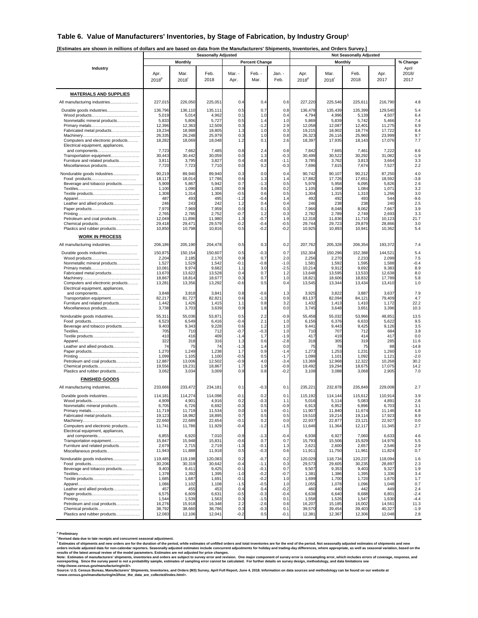#### **Table 6. Value of Manufacturers' Inventories, by Stage of Fabrication, by Industry Group1**

**[Estimates are shown in millions of dollars and are based on data from the Manufacturers' Shipments, Inventories, and Orders Survey.]** 

|                                                                        |                           |                           | <b>Seasonally Adjusted</b> |                  |                       |                  |                           |                           |                   |                   |                        |
|------------------------------------------------------------------------|---------------------------|---------------------------|----------------------------|------------------|-----------------------|------------------|---------------------------|---------------------------|-------------------|-------------------|------------------------|
|                                                                        |                           | <b>Monthly</b>            |                            |                  | <b>Percent Change</b> |                  |                           |                           | <b>Monthly</b>    |                   | % Change               |
| Industry                                                               | Apr.<br>2018 <sup>p</sup> | Mar.<br>2018 <sup>r</sup> | Feb.<br>2018               | Mar. -<br>Apr.   | Feb. -<br>Mar.        | Jan. -<br>Feb.   | Apr.<br>2018 <sup>p</sup> | Mar.<br>2018 <sup>r</sup> | Feb.<br>2018      | Apr.<br>2017      | April<br>2018/<br>2017 |
| <b>MATERIALS AND SUPPLIES</b>                                          |                           |                           |                            |                  |                       |                  |                           |                           |                   |                   |                        |
| All manufacturing industries                                           | 227,015                   | 226,050                   | 225,051                    | 0.4              | 0.4                   | 0.6              | 227,220                   | 225,546                   | 225,611           | 216,790           | 4.8                    |
| Durable goods industries                                               | 136,796                   | 136,110                   | 135,111                    | 0.5              | 0.7                   | 0.8              | 136,478                   | 135,439                   | 135,399           | 129,540           | 5.4                    |
|                                                                        | 5,019                     | 5,014                     | 4,962                      | 0.1              | 1.0                   | 0.4              | 4,794                     | 4,996                     | 5,139             | 4,507             | 6.4                    |
| Nonmetallic mineral products                                           | 5,833<br>12,396           | 5,806<br>12,363           | 5,727<br>12,509            | 0.5<br>0.3       | 1.4<br>$-1.2$         | 1.0<br>2.9       | 5,869<br>12,058           | 5,839<br>12,087           | 5,742<br>12,401   | 5,466<br>11,275   | 7.4<br>6.9             |
| Fabricated metal products                                              | 19,234                    | 18,988                    | 18,805                     | 1.3              | 1.0                   | 0.3              | 19,215                    | 18,902                    | 18,774            | 17,722            | 8.4                    |
| Computers and electronic products                                      | 26,335<br>18,282          | 26,248<br>18,069          | 25,979<br>18,048           | 0.3<br>1.2       | 1.0<br>0.1            | 0.8<br>2.6       | 26,323<br>18,397          | 26,116<br>17,935          | 25,960<br>18,143  | 23,999<br>17,076  | 9.7<br>7.7             |
| Electrical equipment, appliances,                                      |                           |                           |                            |                  |                       |                  |                           |                           |                   |                   |                        |
| and components<br>Transportation equipment                             | 7,723<br>30,443           | 7,662<br>30,442           | 7,485<br>30,059            | 0.8<br>0.0       | 2.4<br>1.3            | 0.8<br>$-0.3$    | 7,842<br>30,499           | 7,665<br>30,522           | 7,461<br>30,292   | 7,222<br>31,082   | 8.6<br>$-1.9$          |
| Furniture and related products<br>Miscellaneous products               | 3,81'                     | 3,795                     | 3,827                      | 0.4<br>0.0       | $-0.8$<br>0.2         | $-1.1$<br>$-0.3$ | 3,785<br>7,696            | 3,762<br>7,615            | 3,813<br>7,674    | 3,664<br>7,527    | 3.3<br>2.2             |
|                                                                        | 7,720                     | 7,723                     | 7,710<br>89,940            | 0.3              | 0.0                   | 0.4              |                           | 90,107                    |                   |                   | 4.0                    |
| Nondurable goods industries                                            | 90,219<br>18,117          | 89,940<br>18,014          | 17,786                     | 0.6              | 1.3                   | 1.4              | 90,742<br>17,882          | 17,726                    | 90,212<br>17,651  | 87,250<br>18,592  | $-3.8$                 |
| Beverage and tobacco products                                          | 5,909<br>1,100            | 5,867<br>1,090            | 5,942<br>1,083             | 0.7<br>0.9       | $-1.3$<br>0.6         | 0.5<br>0.2       | 5,978<br>1,105            | 5,958<br>1,089            | 6,095<br>1,084    | 5,826<br>1,071    | 2.6<br>3.2             |
|                                                                        | 1,308                     | 1,314                     | 1,306                      | $-0.5$           | 0.6                   | 0.5              | 1,304                     | 1,315                     | 1,310             | 1,266             | 3.0                    |
| Leather and allied products                                            | 487<br>246                | 493<br>243                | 495<br>242                 | $-1.2$<br>1.2    | $-0.4$<br>0.4         | 1.4<br>0.4       | 492<br>246                | 492<br>238                | 493<br>238        | 544<br>240        | $-9.6$<br>2.5          |
|                                                                        | 7,970                     | 7,969                     | 7,959                      | 0.0              | 0.1                   | 0.3              | 7,966                     | 8,048                     | 8,062             | 7,667             | 3.9                    |
| Petroleum and coal products                                            | 2,765<br>12,049           | 2,785<br>11,896           | 2,752<br>11,980            | $-0.7$<br>1.3    | 1.2<br>$-0.7$         | 0.3<br>1.9       | 2,782<br>12,318           | 2,789<br>11,836           | 2,749<br>11,710   | 2,693<br>10,123   | 3.3<br>21.7            |
| Chemical products                                                      | 29,418                    | 29,471                    | 29,579                     | $-0.2$           | $-0.4$                | $-0.5$           | 29,744                    | 29,723                    | 29,879            | 28,866            | 3.0                    |
| Plastics and rubber products                                           | 10,850                    | 10,798                    | 10,816                     | 0.5              | $-0.2$                | $-0.2$           | 10,925                    | 10,893                    | 10,941            | 10,362            | 5.4                    |
| <b>WORK IN PROCESS</b>                                                 |                           |                           |                            |                  |                       |                  |                           |                           |                   |                   |                        |
| All manufacturing industries                                           | 206,186                   | 205,190                   | 204,478                    | 0.5              | 0.3                   | 0.2              | 207,762                   | 205,328                   | 206,354           | 193,372           | 7.4                    |
| Durable goods industries                                               | 150,875<br>2,204          | 150,154<br>2,185          | 150,607<br>2,170           | 0.5<br>0.9       | $-0.3$<br>0.7         | 0.7<br>2.0       | 152,304<br>2,256          | 150,296<br>2,270          | 152,388<br>2,233  | 144,521<br>2,099  | 5.4<br>7.5             |
| Nonmetallic mineral products                                           | 1,527                     | 1,529<br>9,974            | 1,542<br>9,682             | $-0.1$           | $-0.8$                | $-1.0$<br>$-2.5$ | 1,581<br>10,214           | 1,592<br>9,912            | 1,595<br>9,692    | 1,588<br>9,383    | $-0.4$<br>8.9          |
| Fabricated metal products                                              | 10,081<br>13,670          | 13,622                    | 13,528                     | 1.1<br>0.4       | 3.0<br>0.7            | 1.2              | 13,648                    | 13,595                    | 13,533            | 12,638            | 8.0                    |
| Computers and electronic products                                      | 18,867<br>13,281          | 18,814<br>13,356          | 18,677<br>13,292           | 0.3<br>$-0.6$    | 0.7<br>0.5            | 1.0<br>0.4       | 18,821<br>13,545          | 18,606<br>13,344          | 18,832<br>13,434  | 17,789<br>13,410  | 5.8<br>1.0             |
| Electrical equipment, appliances,                                      |                           |                           |                            |                  |                       |                  |                           |                           |                   |                   |                        |
| and components<br>Transportation equipment                             | 3,848<br>82,217           | 3,818<br>81,727           | 3,841<br>82,821            | 0.8<br>0.6       | $-0.6$<br>$-1.3$      | 1.3<br>0.9       | 3,925<br>83,137           | 3,822<br>82,094           | 3,887<br>84,121   | 3,637<br>79,409   | 7.9<br>4.7             |
| Furniture and related products                                         | 1,442                     | 1,426                     | 1,415                      | 1.1              | 0.8                   | 3.2              | 1,432                     | 1,413                     | 1,410             | 1,172             | 22.2                   |
| Miscellaneous products                                                 | 3,738                     | 3,703                     | 3,639                      | 0.9              | 1.8                   | 0.0              | 3,745                     | 3,648                     | 3,651             | 3,396             | 10.3                   |
| Nondurable goods industries                                            | 55,311<br>6,523           | 55,036<br>6,549           | 53,871<br>6,416            | 0.5<br>$-0.4$    | 2.2<br>2.1            | $-0.9$<br>1.0    | 55,458<br>6,156           | 55,032<br>6,376           | 53,966<br>6,633   | 48,851<br>5,622   | 13.5<br>9.5            |
| Beverage and tobacco products                                          | 9,403                     | 9,343                     | 9,228                      | 0.6              | 1.2                   | 1.0              | 9,441                     | 9,443                     | 9,425             | 9,126             | 3.5                    |
|                                                                        | 705<br>41C                | 710<br>416                | 712<br>409                 | $-0.7$<br>-1.4   | $-0.3$<br>1.7         | 1.0<br>$-1.9$    | 710<br>417                | 707<br>419                | 712<br>414        | 684<br>417        | 3.8<br>0.0             |
|                                                                        | 322<br>74                 | 318<br>75                 | 316<br>74                  | 1.3              | 0.6                   | $-2.8$<br>0.0    | 318                       | 305<br>78                 | 319<br>75         | 285<br>88         | 11.6<br>$-14.8$        |
| Leather and allied products                                            | 1,270                     | 1,249                     | 1,238                      | $-1.3$<br>1.7    | 1.4<br>0.9            | $-1.4$           | 75<br>1,273               | 1,253                     | 1,231             | 1,260             | 1.0                    |
|                                                                        | 1,099<br>12,887           | 1,105<br>13,006           | 1,100<br>12,502            | $-0.5$<br>$-0.9$ | 0.5<br>4.0            | $-1.7$<br>$-3.4$ | 1,099<br>13,369           | 1,101<br>12,968           | 1,092<br>12,322   | 1,121<br>10,268   | $-2.0$<br>30.2         |
| Petroleum and coal products<br>Chemical products                       | 19,556                    | 19,231                    | 18,867                     | 1.7              | 1.9                   | $-0.9$           | 19,492                    | 19,294                    | 18,675            | 17,075            | 14.2                   |
| Plastics and rubber products                                           | 3,062                     | 3,034                     | 3,009                      | 0.9              | 0.8                   | $-0.2$           | 3,108                     | 3,088                     | 3,068             | 2,905             | 7.0                    |
| <b>FINISHED GOODS</b>                                                  |                           |                           |                            |                  |                       |                  |                           |                           |                   |                   |                        |
| All manufacturing industries                                           | 233,666                   | 233,472                   | 234,181                    | 0.1              | $-0.3$                | 0.1              | 235,221                   | 232,878                   | 235,849           | 229,008           | 2.7                    |
| Durable goods industries                                               | 114,181<br>4.909          | 114,274<br>4.901          | 114,098<br>4.916           | $-0.1$<br>0.2    | 0.2<br>$-0.3$         | 0.1<br>1.1       | 115,192<br>5.016          | 114,144<br>5.114          | 115,612<br>5.083  | 110,914<br>4.891  | 3.9<br>2.6             |
| Nonmetallic mineral products                                           | 6,705                     | 6,726                     | 6,692                      | $-0.3$           | 0.5                   | $-0.9$           | 6,913                     | 6,952                     | 6,896             | 6,703             | 3.1                    |
| Fabricated metal products                                              | 11,719<br>19,123          | 11,719<br>18,982          | 11,534<br>18,895           | 0.0<br>0.7       | 1.6<br>0.5            | $-0.1$<br>0.5    | 11,907<br>19,510          | 11,840<br>19,214          | 11,674<br>19,114  | 11,146<br>17,923  | 6.8<br>8.9             |
|                                                                        | 22,660                    | 22,689                    | 22,654                     | $-0.1$           | 0.2                   | 0.0              | 22,937                    | 22,877                    | 23,121            | 22,927            | 0.0                    |
| Computers and electronic products<br>Electrical equipment, appliances, | 11,741                    | 11,786                    | 11,929                     | $-0.4$           | $-1.2$                | $-1.5$           | 11,646                    | 11,364                    | 12,117            | 11,345            | 2.7                    |
| and components                                                         | 6,855                     | 6,920                     | 7,010                      | $-0.9$           | $-1.3$                | $-0.4$           | 6,938                     | 6,927                     | 7,060             | 6,633             | 4.6                    |
| Transportation equipment<br>Furniture and related products             | 15,847<br>2,679           | 15,948<br>2,715           | 15,831<br>2,719            | $-0.6$<br>$-1.3$ | 0.7<br>$-0.1$         | 0.7<br>1.3       | 15,793<br>2,621           | 15,506<br>2,600           | 15,929<br>2,657   | 14,976<br>2,546   | 5.5<br>2.9             |
| Miscellaneous products                                                 | 11,943                    | 11,888                    | 11,918                     | 0.5              | $-0.3$                | 0.6              | 11,911                    | 11,750                    | 11,961            | 11,824            | 0.7                    |
| Nondurable goods industries                                            | 119,485<br>30,206         | 119,198<br>30,319         | 120,083<br>30,642          | 0.2<br>$-0.4$    | $-0.7$<br>$-1.1$      | 0.2<br>0.3       | 120,029<br>29,573         | 118,734<br>29,605         | 120,237<br>30,235 | 118,094<br>28,897 | 1.6<br>2.3             |
| Beverage and tobacco products                                          | 9,403                     | 9,411                     | 9,425                      | $-0.1$           | $-0.1$                | 0.7              | 9,507                     | 9,353                     | 9,403             | 9,327             | 1.9                    |
|                                                                        | 1,378<br>1,685            | 1,392<br>1,687            | 1,395<br>1,691             | $-1.0$<br>$-0.1$ | $-0.2$<br>$-0.2$      | $-0.7$<br>1.0    | 1,381<br>1,699            | 1,386<br>1,700            | 1,395<br>1,720    | 1,336<br>1,670    | 3.4<br>1.7             |
|                                                                        | 1,086                     | 1,102                     | 1,108                      | $-1.5$           | $-0.5$                | 1.0              | 1,055                     | 1,078                     | 1,096             | 1,048             | 0.7                    |
| Leather and allied products                                            | 457<br>6,575              | 455<br>6,609              | 453<br>6,631               | 0.4<br>$-0.5$    | 0.4<br>$-0.3$         | $-0.2$<br>$-0.4$ | 460<br>6,638              | 440<br>6,640              | 442<br>6,688      | 449<br>6,801      | 2.4<br>$-2.4$          |
| Petroleum and coal products                                            | 1,544                     | 1,539                     | 1,563                      | 0.3              | $-1.5$                | 0.1              | 1,558                     | 1,526                     | 1,547             | 1,630             | $-4.4$                 |
| Chemical products                                                      | 16,276<br>38,792          | 15,918<br>38,660          | 16,348<br>38,786           | 2.2<br>0.3       | $-2.6$<br>$-0.3$      | 0.6<br>0.1       | 16,207<br>39,570          | 15,185<br>39,454          | 16,002<br>39,403  | 14,561<br>40,327  | 11.3<br>$-1.9$         |
| Plastics and rubber products                                           | 12,083                    | 12,106                    | 12,041                     | $-0.2$           | 0.5                   | $-0.1$           | 12,381                    | 12,367                    | 12,306            | 12,048            | 2.8                    |

**p Preliminary** 

"Revised data due to late receipts and concurrent seasonal adjustment.<br>"Estimates of shipments and new orders are for the duration of the period, while estimates of unfilled orders and total inventories are for the end of